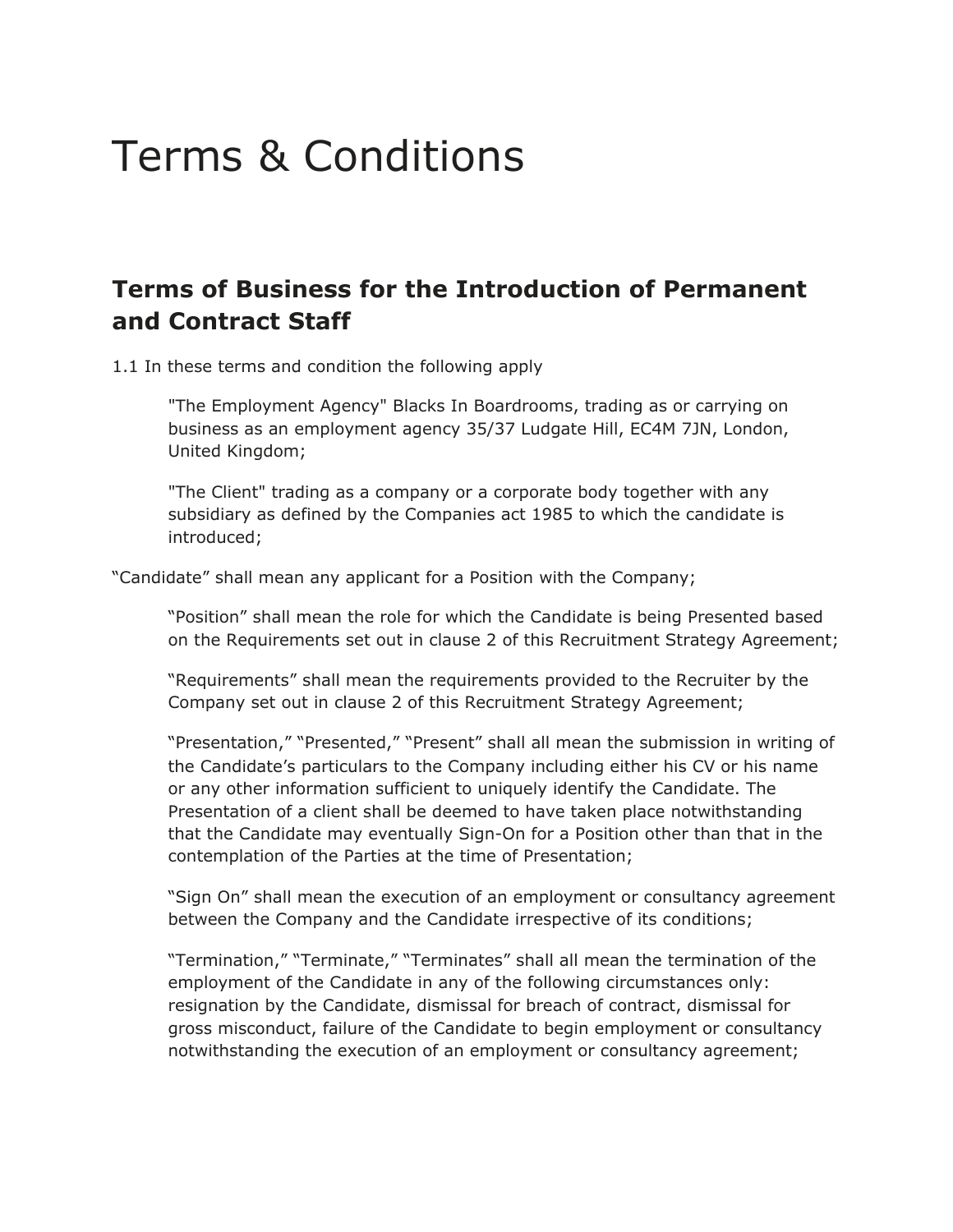# Terms & Conditions

# **Terms of Business for the Introduction of Permanent and Contract Staff**

1.1 In these terms and condition the following apply

"The Employment Agency" Blacks In Boardrooms, trading as or carrying on business as an employment agency 35/37 Ludgate Hill, EC4M 7JN, London, United Kingdom;

"The Client" trading as a company or a corporate body together with any subsidiary as defined by the Companies act 1985 to which the candidate is introduced;

"Candidate" shall mean any applicant for a Position with the Company;

"Position" shall mean the role for which the Candidate is being Presented based on the Requirements set out in clause 2 of this Recruitment Strategy Agreement;

"Requirements" shall mean the requirements provided to the Recruiter by the Company set out in clause 2 of this Recruitment Strategy Agreement;

"Presentation," "Presented," "Present" shall all mean the submission in writing of the Candidate's particulars to the Company including either his CV or his name or any other information sufficient to uniquely identify the Candidate. The Presentation of a client shall be deemed to have taken place notwithstanding that the Candidate may eventually Sign-On for a Position other than that in the contemplation of the Parties at the time of Presentation;

"Sign On" shall mean the execution of an employment or consultancy agreement between the Company and the Candidate irrespective of its conditions;

"Termination," "Terminate," "Terminates" shall all mean the termination of the employment of the Candidate in any of the following circumstances only: resignation by the Candidate, dismissal for breach of contract, dismissal for gross misconduct, failure of the Candidate to begin employment or consultancy notwithstanding the execution of an employment or consultancy agreement;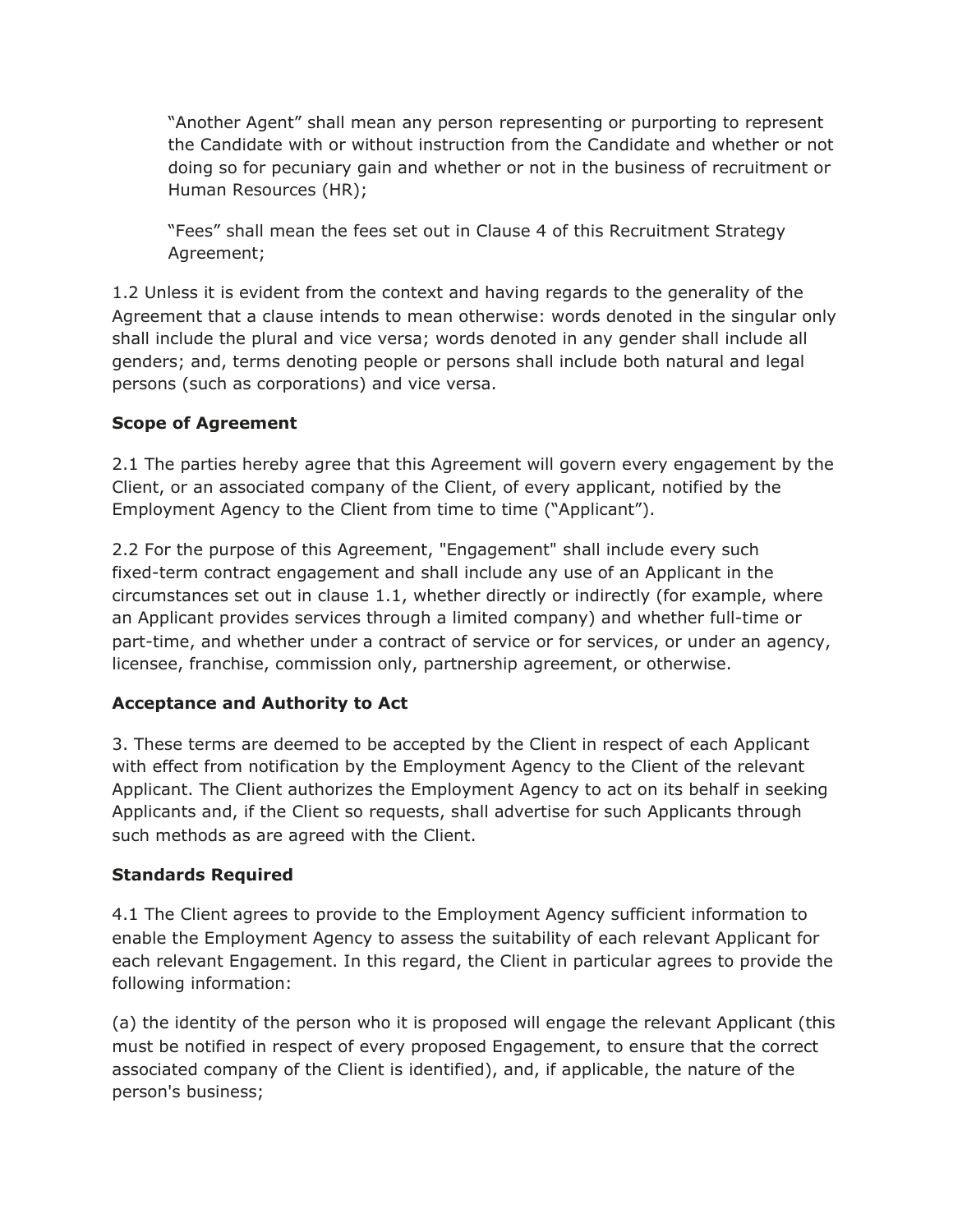"Another Agent" shall mean any person representing or purporting to represent the Candidate with or without instruction from the Candidate and whether or not doing so for pecuniary gain and whether or not in the business of recruitment or Human Resources (HR);

"Fees" shall mean the fees set out in Clause 4 of this Recruitment Strategy Agreement;

1.2 Unless it is evident from the context and having regards to the generality of the Agreement that a clause intends to mean otherwise: words denoted in the singular only shall include the plural and vice versa; words denoted in any gender shall include all genders; and, terms denoting people or persons shall include both natural and legal persons (such as corporations) and vice versa.

#### **Scope of Agreement**

2.1 The parties hereby agree that this Agreement will govern every engagement by the Client, or an associated company of the Client, of every applicant, notified by the Employment Agency to the Client from time to time ("Applicant").

2.2 For the purpose of this Agreement, "Engagement" shall include every such fixed-term contract engagement and shall include any use of an Applicant in the circumstances set out in clause 1.1, whether directly or indirectly (for example, where an Applicant provides services through a limited company) and whether full-time or part-time, and whether under a contract of service or for services, or under an agency, licensee, franchise, commission only, partnership agreement, or otherwise.

# **Acceptance and Authority to Act**

3. These terms are deemed to be accepted by the Client in respect of each Applicant with effect from notification by the Employment Agency to the Client of the relevant Applicant. The Client authorizes the Employment Agency to act on its behalf in seeking Applicants and, if the Client so requests, shall advertise for such Applicants through such methods as are agreed with the Client.

#### **Standards Required**

4.1 The Client agrees to provide to the Employment Agency sufficient information to enable the Employment Agency to assess the suitability of each relevant Applicant for each relevant Engagement. In this regard, the Client in particular agrees to provide the following information:

(a) the identity of the person who it is proposed will engage the relevant Applicant (this must be notified in respect of every proposed Engagement, to ensure that the correct associated company of the Client is identified), and, if applicable, the nature of the person's business;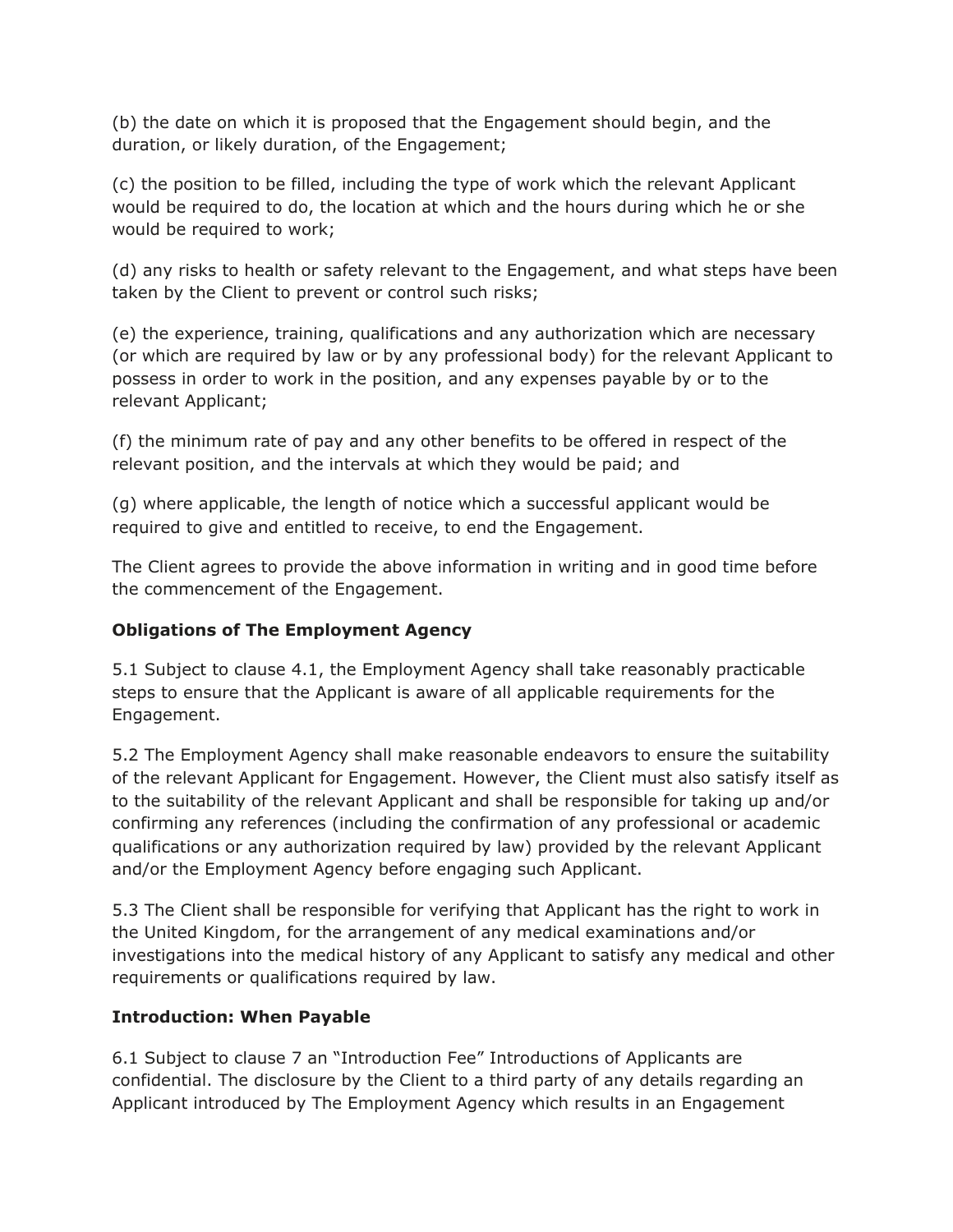(b) the date on which it is proposed that the Engagement should begin, and the duration, or likely duration, of the Engagement;

(c) the position to be filled, including the type of work which the relevant Applicant would be required to do, the location at which and the hours during which he or she would be required to work;

(d) any risks to health or safety relevant to the Engagement, and what steps have been taken by the Client to prevent or control such risks;

(e) the experience, training, qualifications and any authorization which are necessary (or which are required by law or by any professional body) for the relevant Applicant to possess in order to work in the position, and any expenses payable by or to the relevant Applicant;

(f) the minimum rate of pay and any other benefits to be offered in respect of the relevant position, and the intervals at which they would be paid; and

(g) where applicable, the length of notice which a successful applicant would be required to give and entitled to receive, to end the Engagement.

The Client agrees to provide the above information in writing and in good time before the commencement of the Engagement.

# **Obligations of The Employment Agency**

5.1 Subject to clause 4.1, the Employment Agency shall take reasonably practicable steps to ensure that the Applicant is aware of all applicable requirements for the Engagement.

5.2 The Employment Agency shall make reasonable endeavors to ensure the suitability of the relevant Applicant for Engagement. However, the Client must also satisfy itself as to the suitability of the relevant Applicant and shall be responsible for taking up and/or confirming any references (including the confirmation of any professional or academic qualifications or any authorization required by law) provided by the relevant Applicant and/or the Employment Agency before engaging such Applicant.

5.3 The Client shall be responsible for verifying that Applicant has the right to work in the United Kingdom, for the arrangement of any medical examinations and/or investigations into the medical history of any Applicant to satisfy any medical and other requirements or qualifications required by law.

#### **Introduction: When Payable**

6.1 Subject to clause 7 an "Introduction Fee" Introductions of Applicants are confidential. The disclosure by the Client to a third party of any details regarding an Applicant introduced by The Employment Agency which results in an Engagement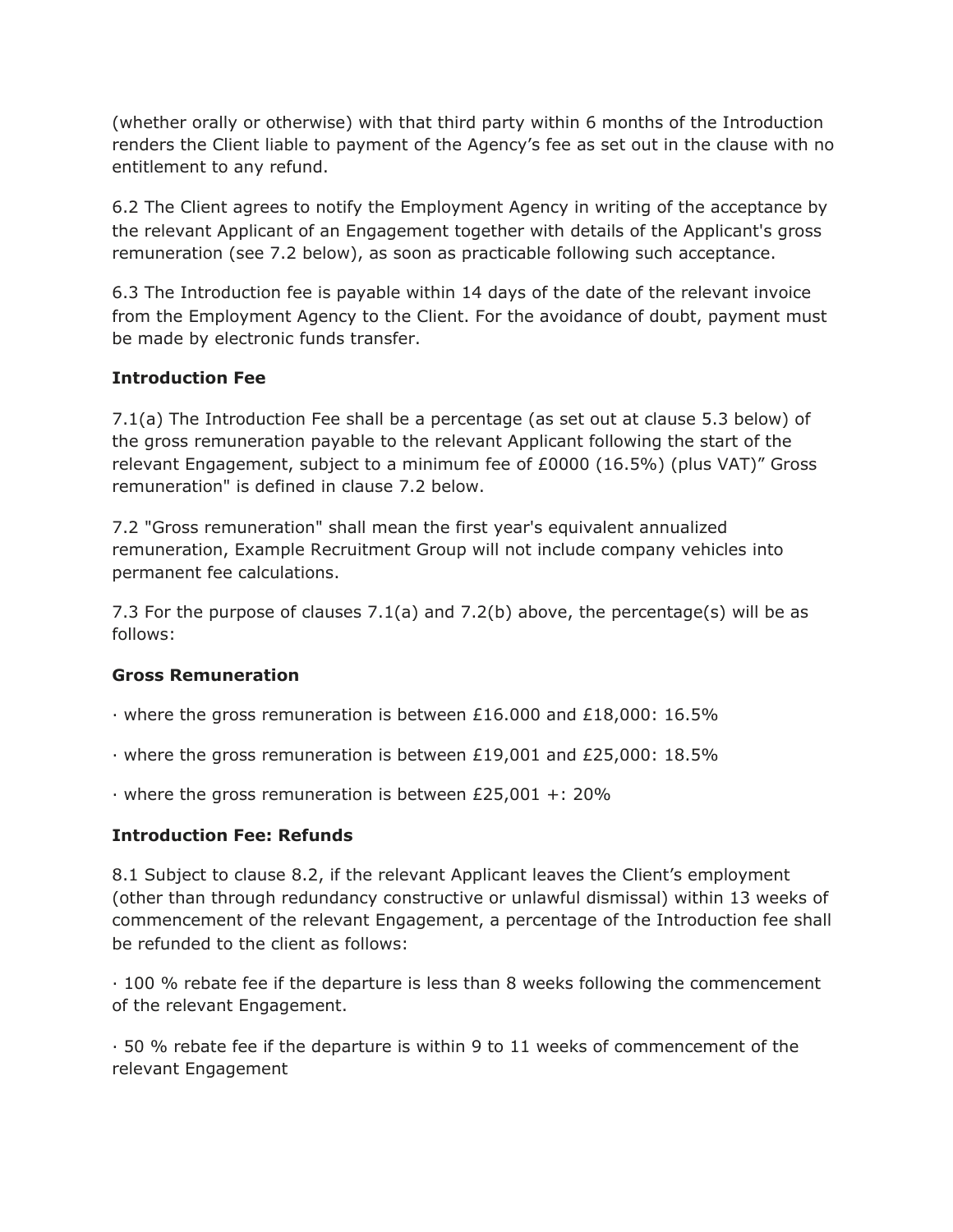(whether orally or otherwise) with that third party within 6 months of the Introduction renders the Client liable to payment of the Agency's fee as set out in the clause with no entitlement to any refund.

6.2 The Client agrees to notify the Employment Agency in writing of the acceptance by the relevant Applicant of an Engagement together with details of the Applicant's gross remuneration (see 7.2 below), as soon as practicable following such acceptance.

6.3 The Introduction fee is payable within 14 days of the date of the relevant invoice from the Employment Agency to the Client. For the avoidance of doubt, payment must be made by electronic funds transfer.

#### **Introduction Fee**

7.1(a) The Introduction Fee shall be a percentage (as set out at clause 5.3 below) of the gross remuneration payable to the relevant Applicant following the start of the relevant Engagement, subject to a minimum fee of £0000 (16.5%) (plus VAT)" Gross remuneration" is defined in clause 7.2 below.

7.2 "Gross remuneration" shall mean the first year's equivalent annualized remuneration, Example Recruitment Group will not include company vehicles into permanent fee calculations.

7.3 For the purpose of clauses 7.1(a) and 7.2(b) above, the percentage(s) will be as follows:

#### **Gross Remuneration**

· where the gross remuneration is between £16.000 and £18,000: 16.5%

· where the gross remuneration is between £19,001 and £25,000: 18.5%

· where the gross remuneration is between £25,001 +: 20%

#### **Introduction Fee: Refunds**

8.1 Subject to clause 8.2, if the relevant Applicant leaves the Client's employment (other than through redundancy constructive or unlawful dismissal) within 13 weeks of commencement of the relevant Engagement, a percentage of the Introduction fee shall be refunded to the client as follows:

· 100 % rebate fee if the departure is less than 8 weeks following the commencement of the relevant Engagement.

· 50 % rebate fee if the departure is within 9 to 11 weeks of commencement of the relevant Engagement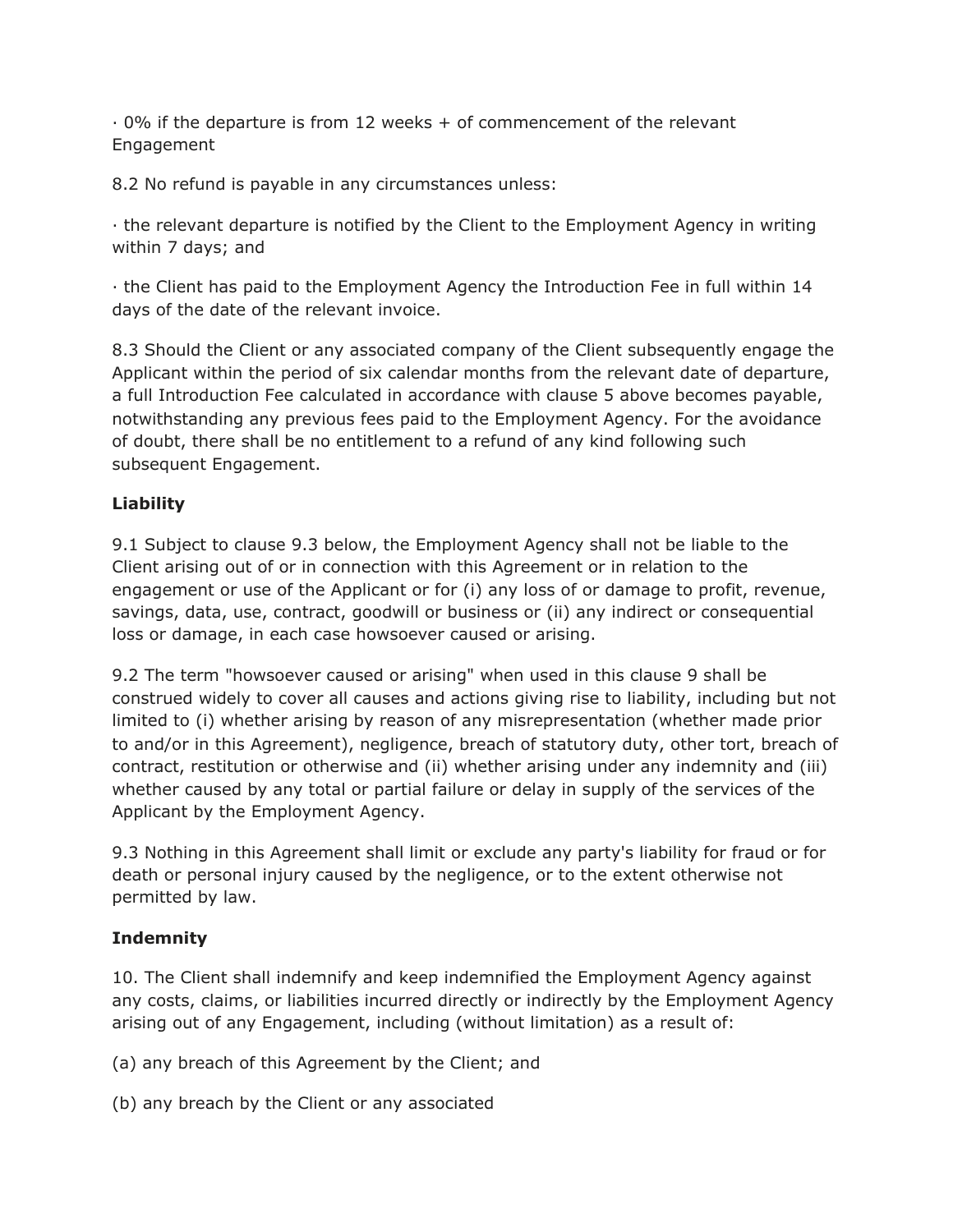$\cdot$  0% if the departure is from 12 weeks  $+$  of commencement of the relevant Engagement

8.2 No refund is payable in any circumstances unless:

· the relevant departure is notified by the Client to the Employment Agency in writing within 7 days; and

· the Client has paid to the Employment Agency the Introduction Fee in full within 14 days of the date of the relevant invoice.

8.3 Should the Client or any associated company of the Client subsequently engage the Applicant within the period of six calendar months from the relevant date of departure, a full Introduction Fee calculated in accordance with clause 5 above becomes payable, notwithstanding any previous fees paid to the Employment Agency. For the avoidance of doubt, there shall be no entitlement to a refund of any kind following such subsequent Engagement.

# **Liability**

9.1 Subject to clause 9.3 below, the Employment Agency shall not be liable to the Client arising out of or in connection with this Agreement or in relation to the engagement or use of the Applicant or for (i) any loss of or damage to profit, revenue, savings, data, use, contract, goodwill or business or (ii) any indirect or consequential loss or damage, in each case howsoever caused or arising.

9.2 The term "howsoever caused or arising" when used in this clause 9 shall be construed widely to cover all causes and actions giving rise to liability, including but not limited to (i) whether arising by reason of any misrepresentation (whether made prior to and/or in this Agreement), negligence, breach of statutory duty, other tort, breach of contract, restitution or otherwise and (ii) whether arising under any indemnity and (iii) whether caused by any total or partial failure or delay in supply of the services of the Applicant by the Employment Agency.

9.3 Nothing in this Agreement shall limit or exclude any party's liability for fraud or for death or personal injury caused by the negligence, or to the extent otherwise not permitted by law.

# **Indemnity**

10. The Client shall indemnify and keep indemnified the Employment Agency against any costs, claims, or liabilities incurred directly or indirectly by the Employment Agency arising out of any Engagement, including (without limitation) as a result of:

(a) any breach of this Agreement by the Client; and

(b) any breach by the Client or any associated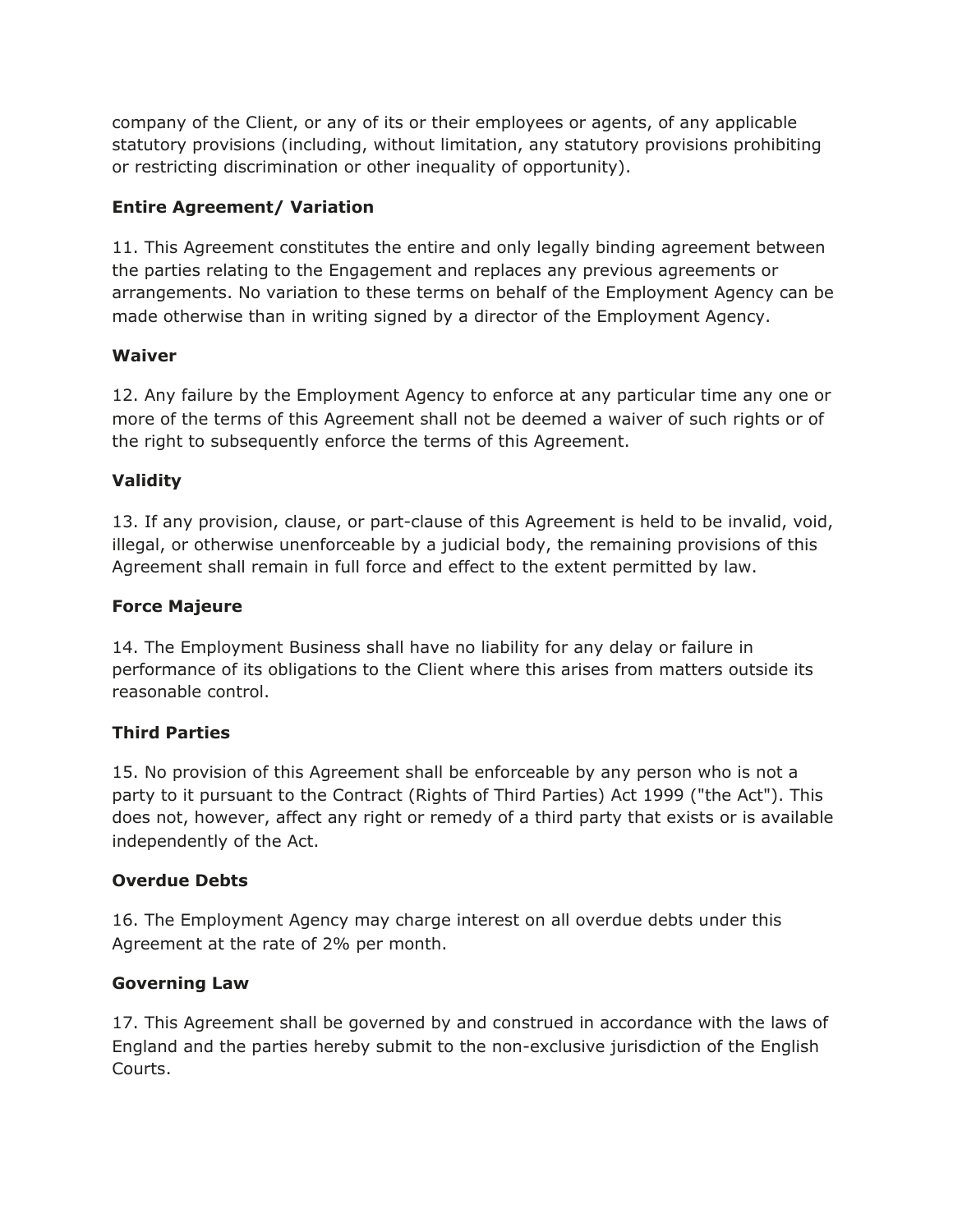company of the Client, or any of its or their employees or agents, of any applicable statutory provisions (including, without limitation, any statutory provisions prohibiting or restricting discrimination or other inequality of opportunity).

#### **Entire Agreement/ Variation**

11. This Agreement constitutes the entire and only legally binding agreement between the parties relating to the Engagement and replaces any previous agreements or arrangements. No variation to these terms on behalf of the Employment Agency can be made otherwise than in writing signed by a director of the Employment Agency.

#### **Waiver**

12. Any failure by the Employment Agency to enforce at any particular time any one or more of the terms of this Agreement shall not be deemed a waiver of such rights or of the right to subsequently enforce the terms of this Agreement.

# **Validity**

13. If any provision, clause, or part-clause of this Agreement is held to be invalid, void, illegal, or otherwise unenforceable by a judicial body, the remaining provisions of this Agreement shall remain in full force and effect to the extent permitted by law.

#### **Force Majeure**

14. The Employment Business shall have no liability for any delay or failure in performance of its obligations to the Client where this arises from matters outside its reasonable control.

# **Third Parties**

15. No provision of this Agreement shall be enforceable by any person who is not a party to it pursuant to the Contract (Rights of Third Parties) Act 1999 ("the Act"). This does not, however, affect any right or remedy of a third party that exists or is available independently of the Act.

# **Overdue Debts**

16. The Employment Agency may charge interest on all overdue debts under this Agreement at the rate of 2% per month.

#### **Governing Law**

17. This Agreement shall be governed by and construed in accordance with the laws of England and the parties hereby submit to the non-exclusive jurisdiction of the English Courts.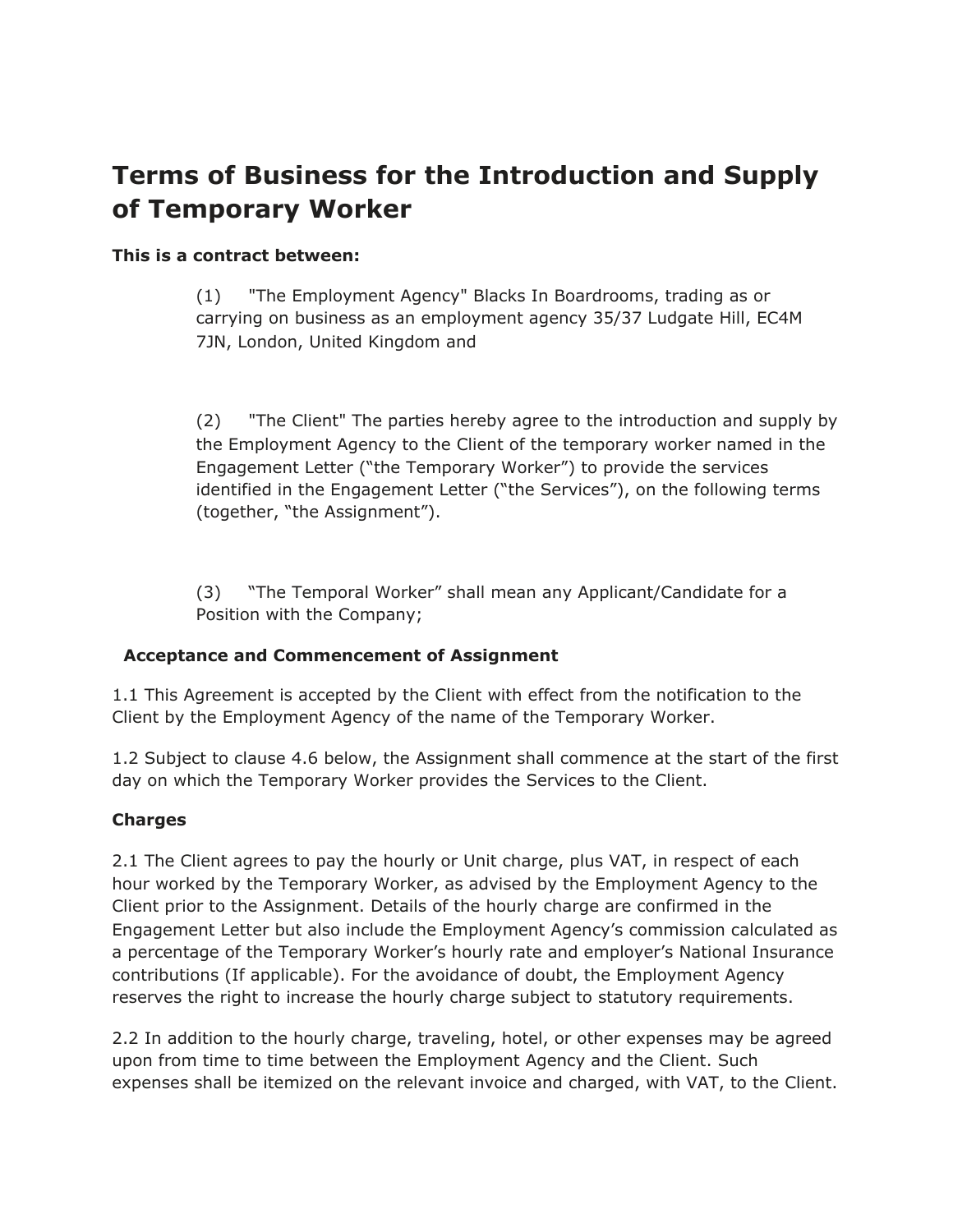# **Terms of Business for the Introduction and Supply of Temporary Worker**

#### **This is a contract between:**

(1) "The Employment Agency" Blacks In Boardrooms, trading as or carrying on business as an employment agency 35/37 Ludgate Hill, EC4M 7JN, London, United Kingdom and

(2) "The Client" The parties hereby agree to the introduction and supply by the Employment Agency to the Client of the temporary worker named in the Engagement Letter ("the Temporary Worker") to provide the services identified in the Engagement Letter ("the Services"), on the following terms (together, "the Assignment").

(3) "The Temporal Worker" shall mean any Applicant/Candidate for a Position with the Company;

#### **Acceptance and Commencement of Assignment**

1.1 This Agreement is accepted by the Client with effect from the notification to the Client by the Employment Agency of the name of the Temporary Worker.

1.2 Subject to clause 4.6 below, the Assignment shall commence at the start of the first day on which the Temporary Worker provides the Services to the Client.

#### **Charges**

2.1 The Client agrees to pay the hourly or Unit charge, plus VAT, in respect of each hour worked by the Temporary Worker, as advised by the Employment Agency to the Client prior to the Assignment. Details of the hourly charge are confirmed in the Engagement Letter but also include the Employment Agency's commission calculated as a percentage of the Temporary Worker's hourly rate and employer's National Insurance contributions (If applicable). For the avoidance of doubt, the Employment Agency reserves the right to increase the hourly charge subject to statutory requirements.

2.2 In addition to the hourly charge, traveling, hotel, or other expenses may be agreed upon from time to time between the Employment Agency and the Client. Such expenses shall be itemized on the relevant invoice and charged, with VAT, to the Client.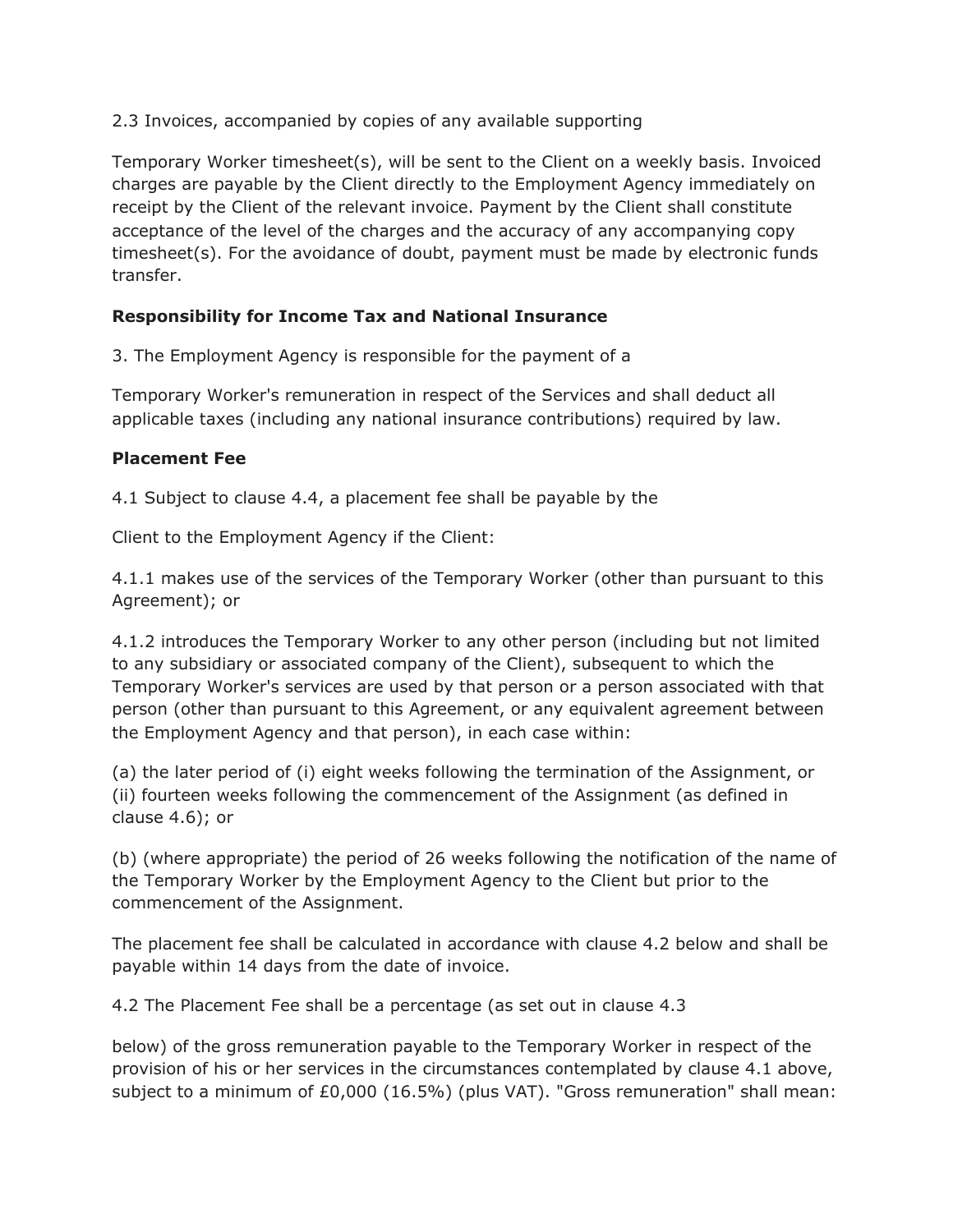2.3 Invoices, accompanied by copies of any available supporting

Temporary Worker timesheet(s), will be sent to the Client on a weekly basis. Invoiced charges are payable by the Client directly to the Employment Agency immediately on receipt by the Client of the relevant invoice. Payment by the Client shall constitute acceptance of the level of the charges and the accuracy of any accompanying copy timesheet(s). For the avoidance of doubt, payment must be made by electronic funds transfer.

#### **Responsibility for Income Tax and National Insurance**

3. The Employment Agency is responsible for the payment of a

Temporary Worker's remuneration in respect of the Services and shall deduct all applicable taxes (including any national insurance contributions) required by law.

#### **Placement Fee**

4.1 Subject to clause 4.4, a placement fee shall be payable by the

Client to the Employment Agency if the Client:

4.1.1 makes use of the services of the Temporary Worker (other than pursuant to this Agreement); or

4.1.2 introduces the Temporary Worker to any other person (including but not limited to any subsidiary or associated company of the Client), subsequent to which the Temporary Worker's services are used by that person or a person associated with that person (other than pursuant to this Agreement, or any equivalent agreement between the Employment Agency and that person), in each case within:

(a) the later period of (i) eight weeks following the termination of the Assignment, or (ii) fourteen weeks following the commencement of the Assignment (as defined in clause 4.6); or

(b) (where appropriate) the period of 26 weeks following the notification of the name of the Temporary Worker by the Employment Agency to the Client but prior to the commencement of the Assignment.

The placement fee shall be calculated in accordance with clause 4.2 below and shall be payable within 14 days from the date of invoice.

4.2 The Placement Fee shall be a percentage (as set out in clause 4.3

below) of the gross remuneration payable to the Temporary Worker in respect of the provision of his or her services in the circumstances contemplated by clause 4.1 above, subject to a minimum of £0,000 (16.5%) (plus VAT). "Gross remuneration" shall mean: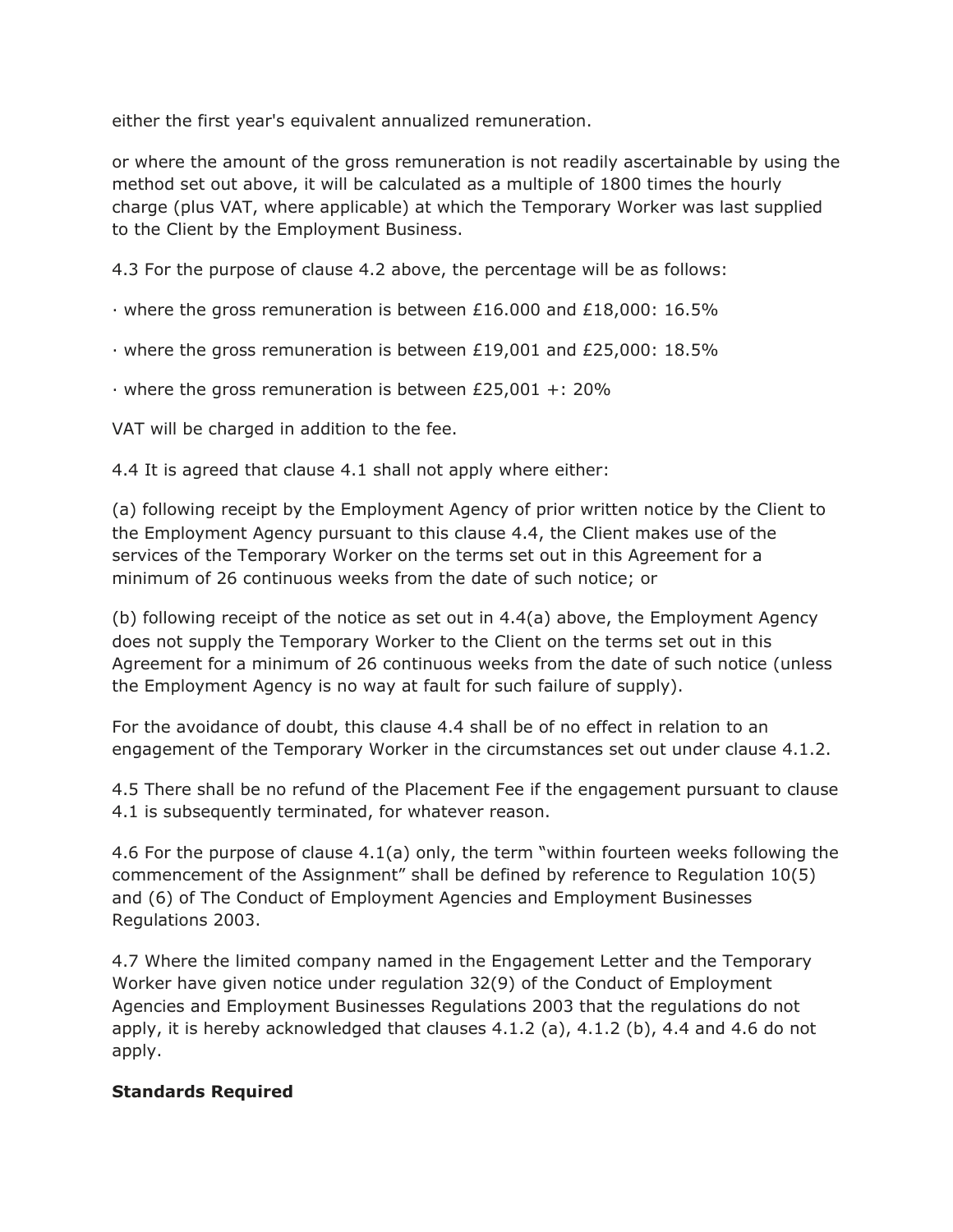either the first year's equivalent annualized remuneration.

or where the amount of the gross remuneration is not readily ascertainable by using the method set out above, it will be calculated as a multiple of 1800 times the hourly charge (plus VAT, where applicable) at which the Temporary Worker was last supplied to the Client by the Employment Business.

4.3 For the purpose of clause 4.2 above, the percentage will be as follows:

· where the gross remuneration is between £16.000 and £18,000: 16.5%

· where the gross remuneration is between £19,001 and £25,000: 18.5%

· where the gross remuneration is between £25,001 +: 20%

VAT will be charged in addition to the fee.

4.4 It is agreed that clause 4.1 shall not apply where either:

(a) following receipt by the Employment Agency of prior written notice by the Client to the Employment Agency pursuant to this clause 4.4, the Client makes use of the services of the Temporary Worker on the terms set out in this Agreement for a minimum of 26 continuous weeks from the date of such notice; or

(b) following receipt of the notice as set out in 4.4(a) above, the Employment Agency does not supply the Temporary Worker to the Client on the terms set out in this Agreement for a minimum of 26 continuous weeks from the date of such notice (unless the Employment Agency is no way at fault for such failure of supply).

For the avoidance of doubt, this clause 4.4 shall be of no effect in relation to an engagement of the Temporary Worker in the circumstances set out under clause 4.1.2.

4.5 There shall be no refund of the Placement Fee if the engagement pursuant to clause 4.1 is subsequently terminated, for whatever reason.

4.6 For the purpose of clause 4.1(a) only, the term "within fourteen weeks following the commencement of the Assignment" shall be defined by reference to Regulation 10(5) and (6) of The Conduct of Employment Agencies and Employment Businesses Regulations 2003.

4.7 Where the limited company named in the Engagement Letter and the Temporary Worker have given notice under regulation 32(9) of the Conduct of Employment Agencies and Employment Businesses Regulations 2003 that the regulations do not apply, it is hereby acknowledged that clauses  $4.1.2$  (a),  $4.1.2$  (b),  $4.4$  and  $4.6$  do not apply.

#### **Standards Required**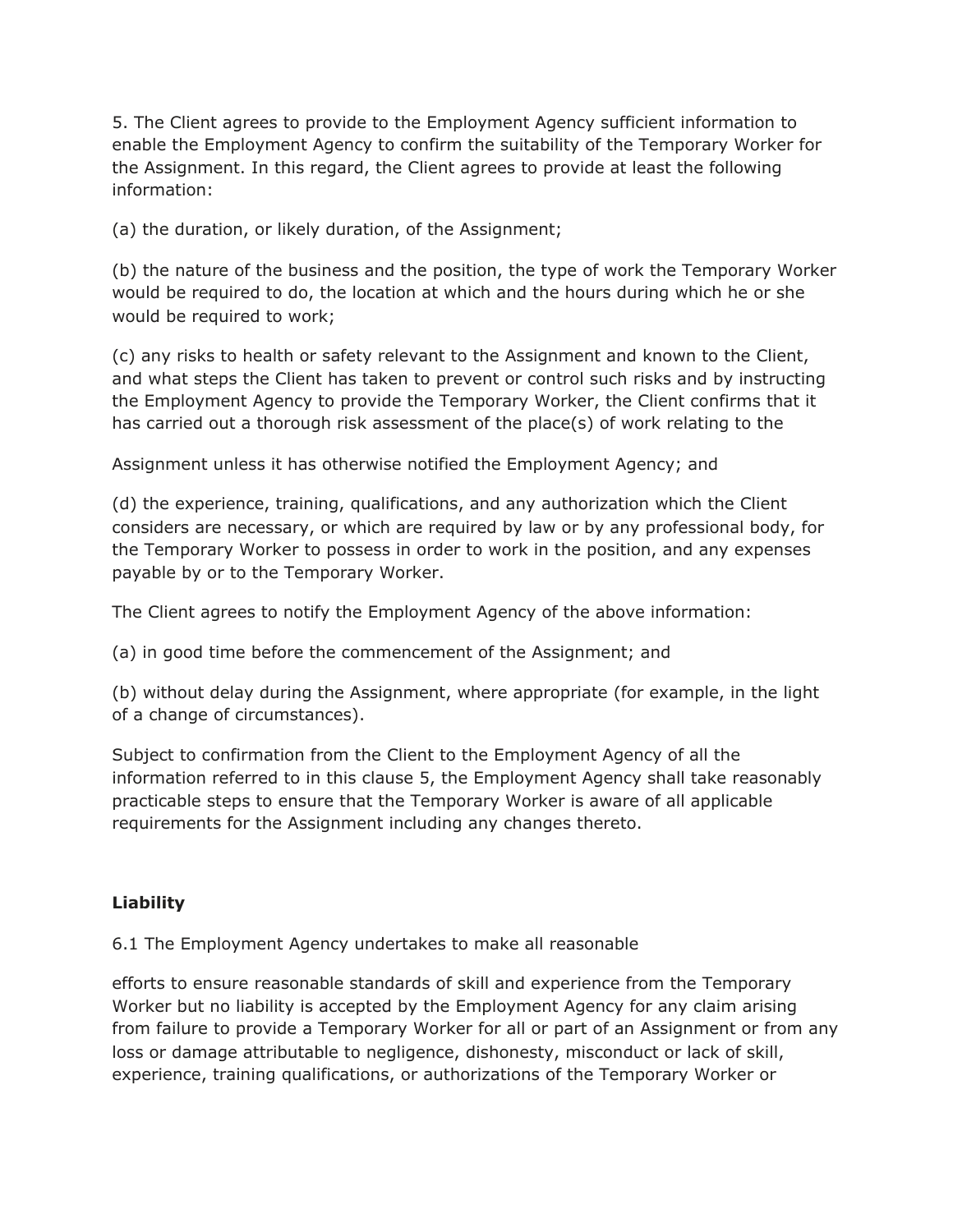5. The Client agrees to provide to the Employment Agency sufficient information to enable the Employment Agency to confirm the suitability of the Temporary Worker for the Assignment. In this regard, the Client agrees to provide at least the following information:

(a) the duration, or likely duration, of the Assignment;

(b) the nature of the business and the position, the type of work the Temporary Worker would be required to do, the location at which and the hours during which he or she would be required to work;

(c) any risks to health or safety relevant to the Assignment and known to the Client, and what steps the Client has taken to prevent or control such risks and by instructing the Employment Agency to provide the Temporary Worker, the Client confirms that it has carried out a thorough risk assessment of the place(s) of work relating to the

Assignment unless it has otherwise notified the Employment Agency; and

(d) the experience, training, qualifications, and any authorization which the Client considers are necessary, or which are required by law or by any professional body, for the Temporary Worker to possess in order to work in the position, and any expenses payable by or to the Temporary Worker.

The Client agrees to notify the Employment Agency of the above information:

(a) in good time before the commencement of the Assignment; and

(b) without delay during the Assignment, where appropriate (for example, in the light of a change of circumstances).

Subject to confirmation from the Client to the Employment Agency of all the information referred to in this clause 5, the Employment Agency shall take reasonably practicable steps to ensure that the Temporary Worker is aware of all applicable requirements for the Assignment including any changes thereto.

#### **Liability**

6.1 The Employment Agency undertakes to make all reasonable

efforts to ensure reasonable standards of skill and experience from the Temporary Worker but no liability is accepted by the Employment Agency for any claim arising from failure to provide a Temporary Worker for all or part of an Assignment or from any loss or damage attributable to negligence, dishonesty, misconduct or lack of skill, experience, training qualifications, or authorizations of the Temporary Worker or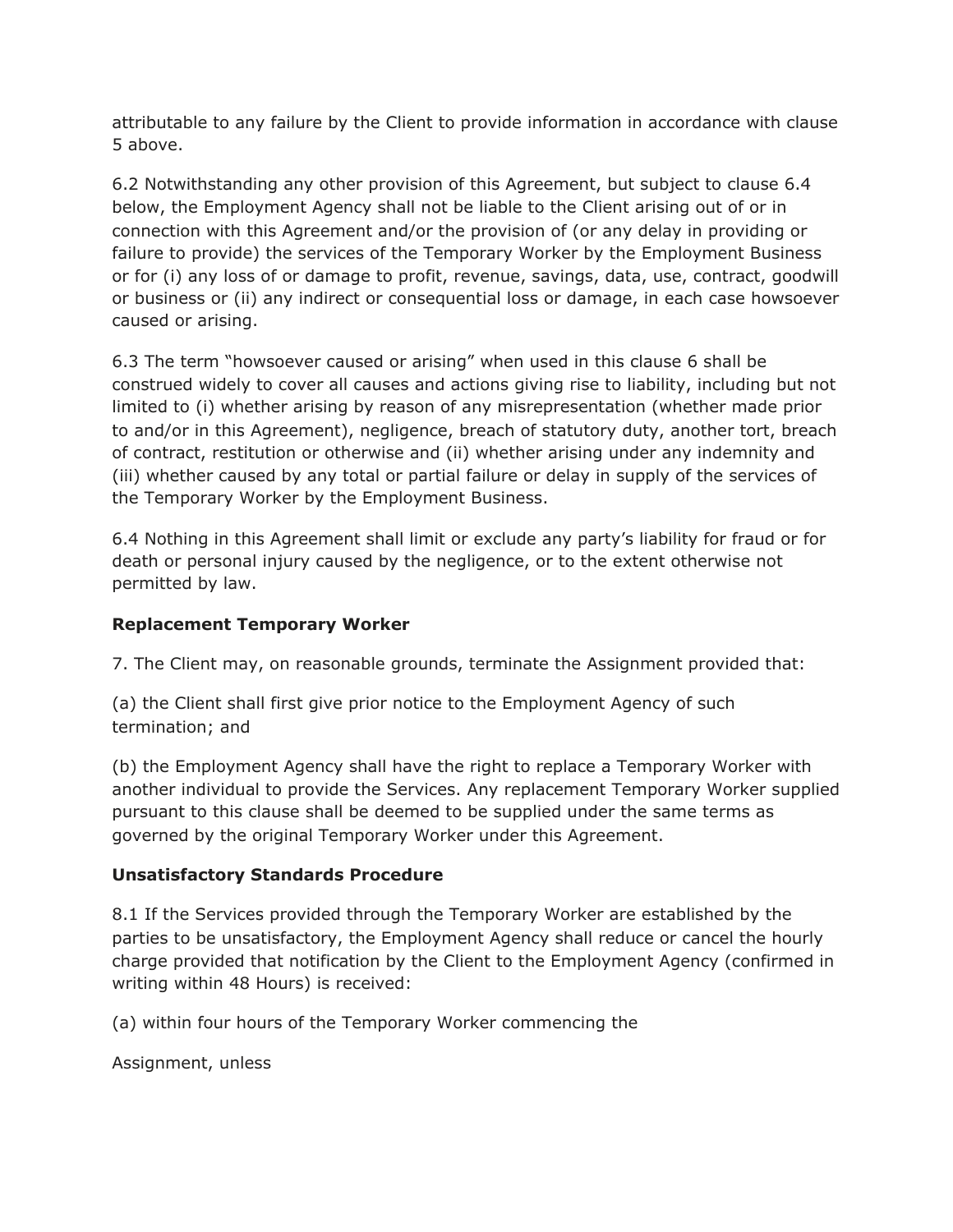attributable to any failure by the Client to provide information in accordance with clause 5 above.

6.2 Notwithstanding any other provision of this Agreement, but subject to clause 6.4 below, the Employment Agency shall not be liable to the Client arising out of or in connection with this Agreement and/or the provision of (or any delay in providing or failure to provide) the services of the Temporary Worker by the Employment Business or for (i) any loss of or damage to profit, revenue, savings, data, use, contract, goodwill or business or (ii) any indirect or consequential loss or damage, in each case howsoever caused or arising.

6.3 The term "howsoever caused or arising" when used in this clause 6 shall be construed widely to cover all causes and actions giving rise to liability, including but not limited to (i) whether arising by reason of any misrepresentation (whether made prior to and/or in this Agreement), negligence, breach of statutory duty, another tort, breach of contract, restitution or otherwise and (ii) whether arising under any indemnity and (iii) whether caused by any total or partial failure or delay in supply of the services of the Temporary Worker by the Employment Business.

6.4 Nothing in this Agreement shall limit or exclude any party's liability for fraud or for death or personal injury caused by the negligence, or to the extent otherwise not permitted by law.

#### **Replacement Temporary Worker**

7. The Client may, on reasonable grounds, terminate the Assignment provided that:

(a) the Client shall first give prior notice to the Employment Agency of such termination; and

(b) the Employment Agency shall have the right to replace a Temporary Worker with another individual to provide the Services. Any replacement Temporary Worker supplied pursuant to this clause shall be deemed to be supplied under the same terms as governed by the original Temporary Worker under this Agreement.

#### **Unsatisfactory Standards Procedure**

8.1 If the Services provided through the Temporary Worker are established by the parties to be unsatisfactory, the Employment Agency shall reduce or cancel the hourly charge provided that notification by the Client to the Employment Agency (confirmed in writing within 48 Hours) is received:

(a) within four hours of the Temporary Worker commencing the

Assignment, unless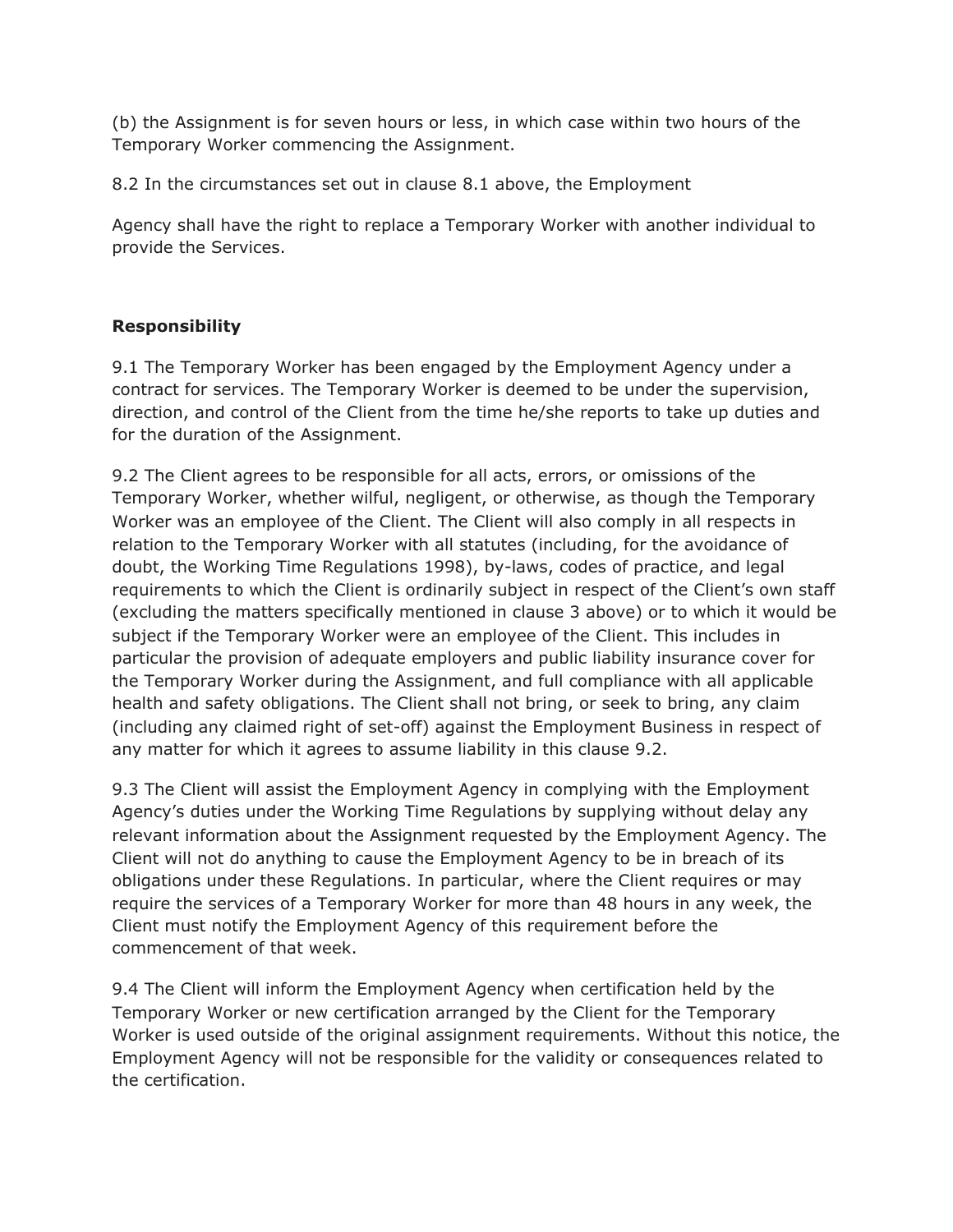(b) the Assignment is for seven hours or less, in which case within two hours of the Temporary Worker commencing the Assignment.

8.2 In the circumstances set out in clause 8.1 above, the Employment

Agency shall have the right to replace a Temporary Worker with another individual to provide the Services.

#### **Responsibility**

9.1 The Temporary Worker has been engaged by the Employment Agency under a contract for services. The Temporary Worker is deemed to be under the supervision, direction, and control of the Client from the time he/she reports to take up duties and for the duration of the Assignment.

9.2 The Client agrees to be responsible for all acts, errors, or omissions of the Temporary Worker, whether wilful, negligent, or otherwise, as though the Temporary Worker was an employee of the Client. The Client will also comply in all respects in relation to the Temporary Worker with all statutes (including, for the avoidance of doubt, the Working Time Regulations 1998), by-laws, codes of practice, and legal requirements to which the Client is ordinarily subject in respect of the Client's own staff (excluding the matters specifically mentioned in clause 3 above) or to which it would be subject if the Temporary Worker were an employee of the Client. This includes in particular the provision of adequate employers and public liability insurance cover for the Temporary Worker during the Assignment, and full compliance with all applicable health and safety obligations. The Client shall not bring, or seek to bring, any claim (including any claimed right of set-off) against the Employment Business in respect of any matter for which it agrees to assume liability in this clause 9.2.

9.3 The Client will assist the Employment Agency in complying with the Employment Agency's duties under the Working Time Regulations by supplying without delay any relevant information about the Assignment requested by the Employment Agency. The Client will not do anything to cause the Employment Agency to be in breach of its obligations under these Regulations. In particular, where the Client requires or may require the services of a Temporary Worker for more than 48 hours in any week, the Client must notify the Employment Agency of this requirement before the commencement of that week.

9.4 The Client will inform the Employment Agency when certification held by the Temporary Worker or new certification arranged by the Client for the Temporary Worker is used outside of the original assignment requirements. Without this notice, the Employment Agency will not be responsible for the validity or consequences related to the certification.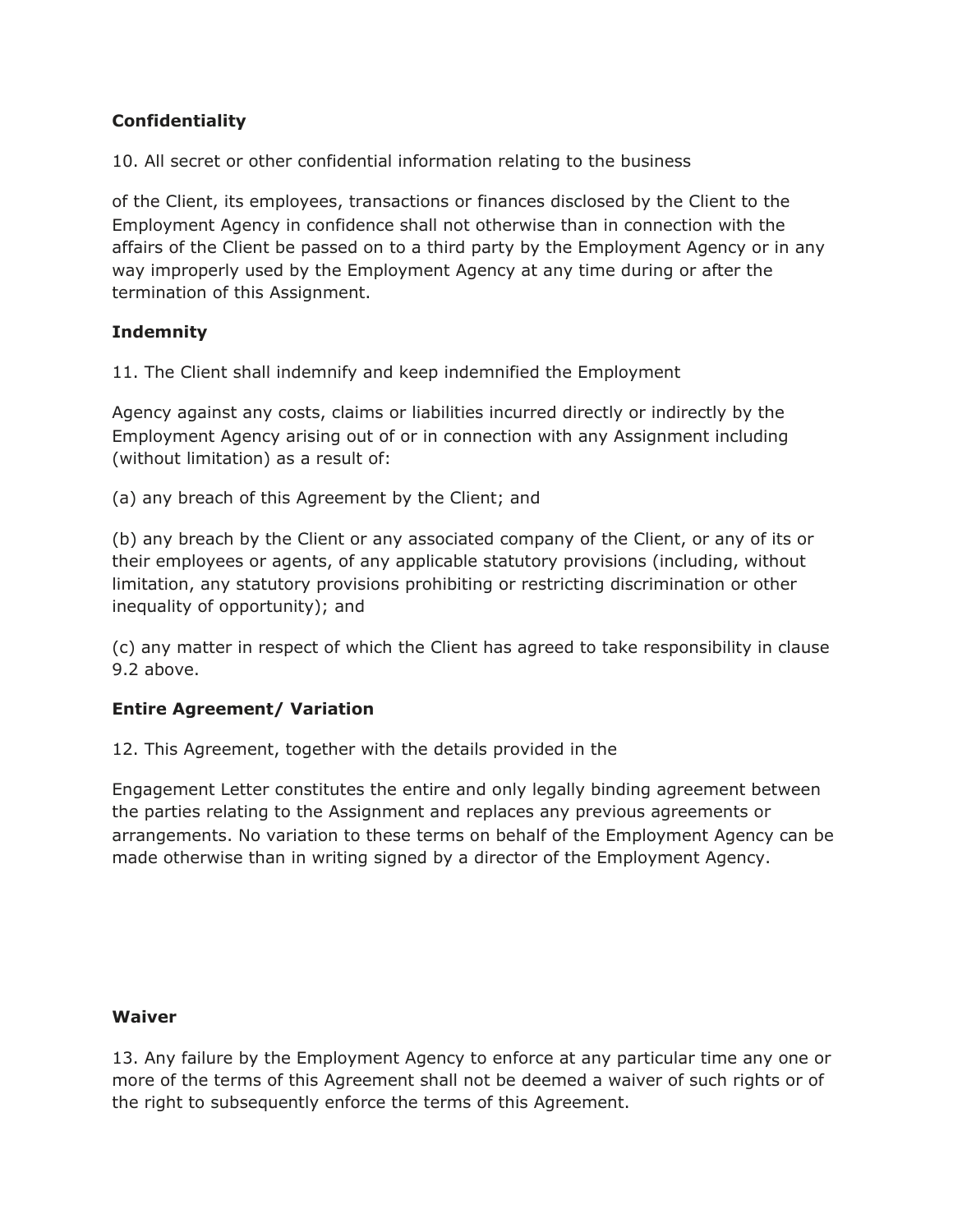#### **Confidentiality**

10. All secret or other confidential information relating to the business

of the Client, its employees, transactions or finances disclosed by the Client to the Employment Agency in confidence shall not otherwise than in connection with the affairs of the Client be passed on to a third party by the Employment Agency or in any way improperly used by the Employment Agency at any time during or after the termination of this Assignment.

#### **Indemnity**

11. The Client shall indemnify and keep indemnified the Employment

Agency against any costs, claims or liabilities incurred directly or indirectly by the Employment Agency arising out of or in connection with any Assignment including (without limitation) as a result of:

(a) any breach of this Agreement by the Client; and

(b) any breach by the Client or any associated company of the Client, or any of its or their employees or agents, of any applicable statutory provisions (including, without limitation, any statutory provisions prohibiting or restricting discrimination or other inequality of opportunity); and

(c) any matter in respect of which the Client has agreed to take responsibility in clause 9.2 above.

#### **Entire Agreement/ Variation**

12. This Agreement, together with the details provided in the

Engagement Letter constitutes the entire and only legally binding agreement between the parties relating to the Assignment and replaces any previous agreements or arrangements. No variation to these terms on behalf of the Employment Agency can be made otherwise than in writing signed by a director of the Employment Agency.

#### **Waiver**

13. Any failure by the Employment Agency to enforce at any particular time any one or more of the terms of this Agreement shall not be deemed a waiver of such rights or of the right to subsequently enforce the terms of this Agreement.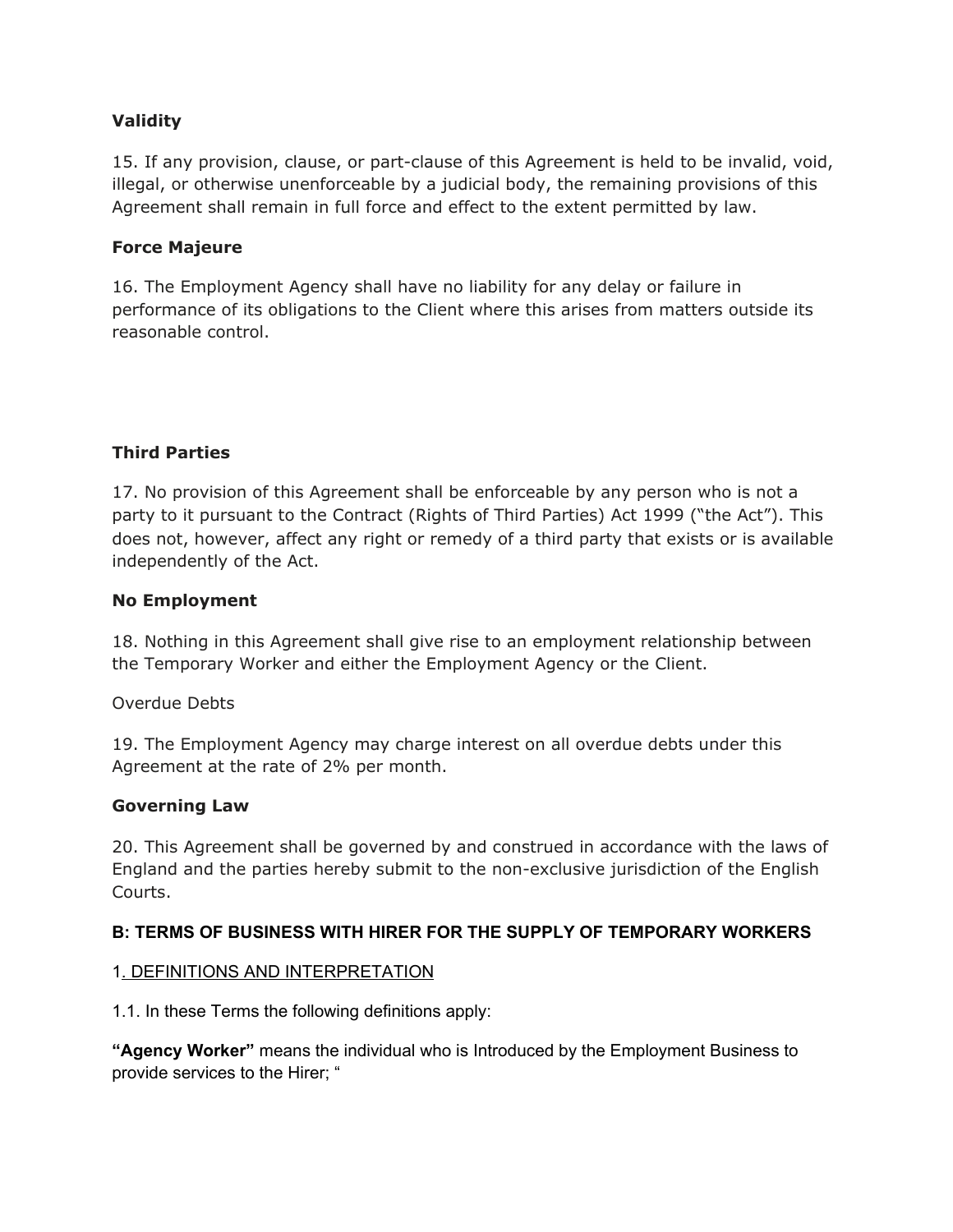#### **Validity**

15. If any provision, clause, or part-clause of this Agreement is held to be invalid, void, illegal, or otherwise unenforceable by a judicial body, the remaining provisions of this Agreement shall remain in full force and effect to the extent permitted by law.

#### **Force Majeure**

16. The Employment Agency shall have no liability for any delay or failure in performance of its obligations to the Client where this arises from matters outside its reasonable control.

#### **Third Parties**

17. No provision of this Agreement shall be enforceable by any person who is not a party to it pursuant to the Contract (Rights of Third Parties) Act 1999 ("the Act"). This does not, however, affect any right or remedy of a third party that exists or is available independently of the Act.

#### **No Employment**

18. Nothing in this Agreement shall give rise to an employment relationship between the Temporary Worker and either the Employment Agency or the Client.

Overdue Debts

19. The Employment Agency may charge interest on all overdue debts under this Agreement at the rate of 2% per month.

#### **Governing Law**

20. This Agreement shall be governed by and construed in accordance with the laws of England and the parties hereby submit to the non-exclusive jurisdiction of the English Courts.

#### **B: TERMS OF BUSINESS WITH HIRER FOR THE SUPPLY OF TEMPORARY WORKERS**

#### 1. DEFINITIONS AND INTERPRETATION

1.1. In these Terms the following definitions apply:

**"Agency Worker"** means the individual who is Introduced by the Employment Business to provide services to the Hirer; "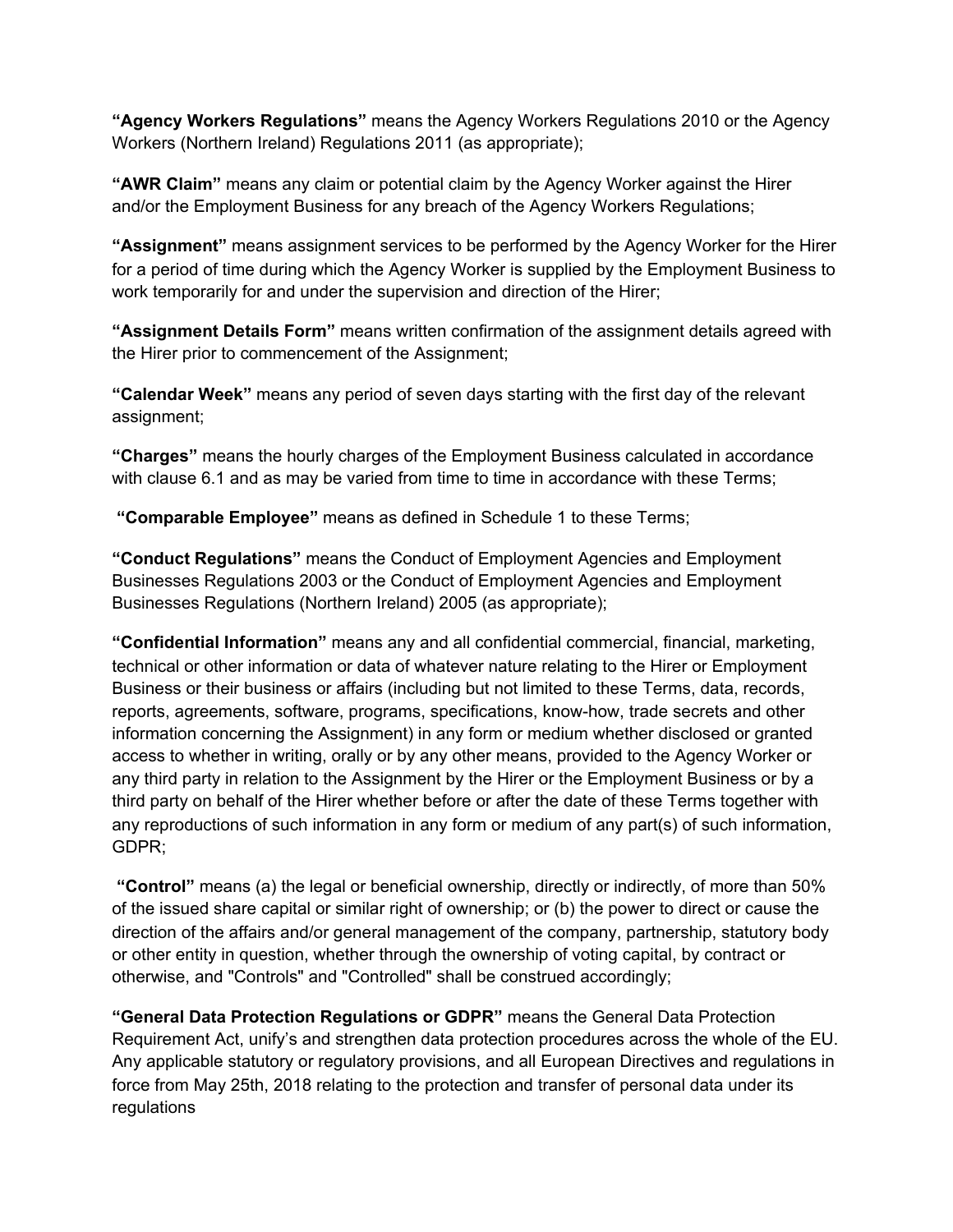**"Agency Workers Regulations"** means the Agency Workers Regulations 2010 or the Agency Workers (Northern Ireland) Regulations 2011 (as appropriate);

**"AWR Claim"** means any claim or potential claim by the Agency Worker against the Hirer and/or the Employment Business for any breach of the Agency Workers Regulations;

**"Assignment"** means assignment services to be performed by the Agency Worker for the Hirer for a period of time during which the Agency Worker is supplied by the Employment Business to work temporarily for and under the supervision and direction of the Hirer;

**"Assignment Details Form"** means written confirmation of the assignment details agreed with the Hirer prior to commencement of the Assignment;

**"Calendar Week"** means any period of seven days starting with the first day of the relevant assignment;

**"Charges"** means the hourly charges of the Employment Business calculated in accordance with clause 6.1 and as may be varied from time to time in accordance with these Terms;

**"Comparable Employee"** means as defined in Schedule 1 to these Terms;

**"Conduct Regulations"** means the Conduct of Employment Agencies and Employment Businesses Regulations 2003 or the Conduct of Employment Agencies and Employment Businesses Regulations (Northern Ireland) 2005 (as appropriate);

**"Confidential Information"** means any and all confidential commercial, financial, marketing, technical or other information or data of whatever nature relating to the Hirer or Employment Business or their business or affairs (including but not limited to these Terms, data, records, reports, agreements, software, programs, specifications, know-how, trade secrets and other information concerning the Assignment) in any form or medium whether disclosed or granted access to whether in writing, orally or by any other means, provided to the Agency Worker or any third party in relation to the Assignment by the Hirer or the Employment Business or by a third party on behalf of the Hirer whether before or after the date of these Terms together with any reproductions of such information in any form or medium of any part(s) of such information, GDPR;

**"Control"** means (a) the legal or beneficial ownership, directly or indirectly, of more than 50% of the issued share capital or similar right of ownership; or (b) the power to direct or cause the direction of the affairs and/or general management of the company, partnership, statutory body or other entity in question, whether through the ownership of voting capital, by contract or otherwise, and "Controls" and "Controlled" shall be construed accordingly;

**"General Data Protection Regulations or GDPR"** means the General Data Protection Requirement Act, unify's and strengthen data protection procedures across the whole of the EU. Any applicable statutory or regulatory provisions, and all European Directives and regulations in force from May 25th, 2018 relating to the protection and transfer of personal data under its regulations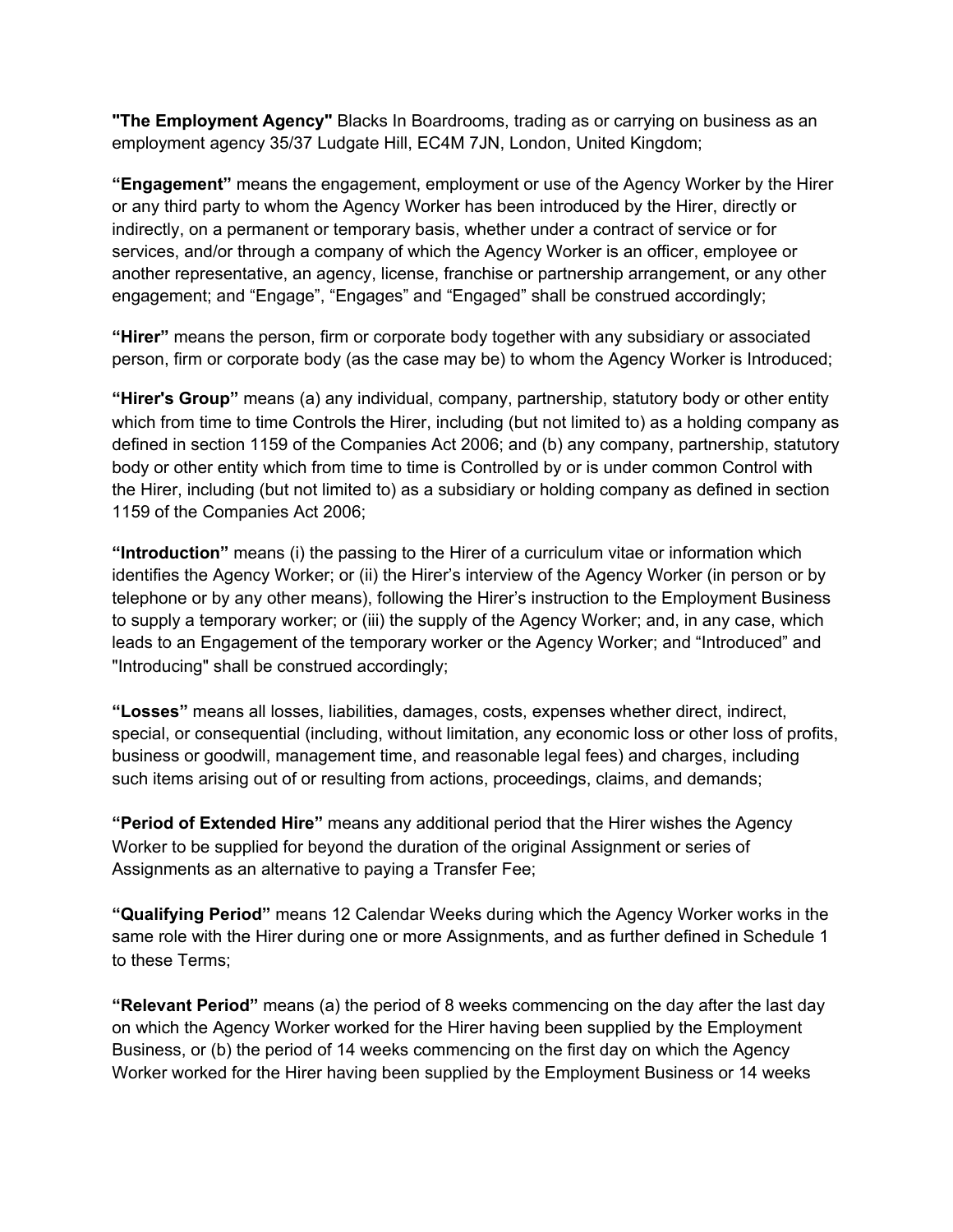**"The Employment Agency"** Blacks In Boardrooms, trading as or carrying on business as an employment agency 35/37 Ludgate Hill, EC4M 7JN, London, United Kingdom;

**"Engagement"** means the engagement, employment or use of the Agency Worker by the Hirer or any third party to whom the Agency Worker has been introduced by the Hirer, directly or indirectly, on a permanent or temporary basis, whether under a contract of service or for services, and/or through a company of which the Agency Worker is an officer, employee or another representative, an agency, license, franchise or partnership arrangement, or any other engagement; and "Engage", "Engages" and "Engaged" shall be construed accordingly;

**"Hirer"** means the person, firm or corporate body together with any subsidiary or associated person, firm or corporate body (as the case may be) to whom the Agency Worker is Introduced;

**"Hirer's Group"** means (a) any individual, company, partnership, statutory body or other entity which from time to time Controls the Hirer, including (but not limited to) as a holding company as defined in section 1159 of the Companies Act 2006; and (b) any company, partnership, statutory body or other entity which from time to time is Controlled by or is under common Control with the Hirer, including (but not limited to) as a subsidiary or holding company as defined in section 1159 of the Companies Act 2006;

**"Introduction"** means (i) the passing to the Hirer of a curriculum vitae or information which identifies the Agency Worker; or (ii) the Hirer's interview of the Agency Worker (in person or by telephone or by any other means), following the Hirer's instruction to the Employment Business to supply a temporary worker; or (iii) the supply of the Agency Worker; and, in any case, which leads to an Engagement of the temporary worker or the Agency Worker; and "Introduced" and "Introducing" shall be construed accordingly;

**"Losses"** means all losses, liabilities, damages, costs, expenses whether direct, indirect, special, or consequential (including, without limitation, any economic loss or other loss of profits, business or goodwill, management time, and reasonable legal fees) and charges, including such items arising out of or resulting from actions, proceedings, claims, and demands;

**"Period of Extended Hire"** means any additional period that the Hirer wishes the Agency Worker to be supplied for beyond the duration of the original Assignment or series of Assignments as an alternative to paying a Transfer Fee;

**"Qualifying Period"** means 12 Calendar Weeks during which the Agency Worker works in the same role with the Hirer during one or more Assignments, and as further defined in Schedule 1 to these Terms;

**"Relevant Period"** means (a) the period of 8 weeks commencing on the day after the last day on which the Agency Worker worked for the Hirer having been supplied by the Employment Business, or (b) the period of 14 weeks commencing on the first day on which the Agency Worker worked for the Hirer having been supplied by the Employment Business or 14 weeks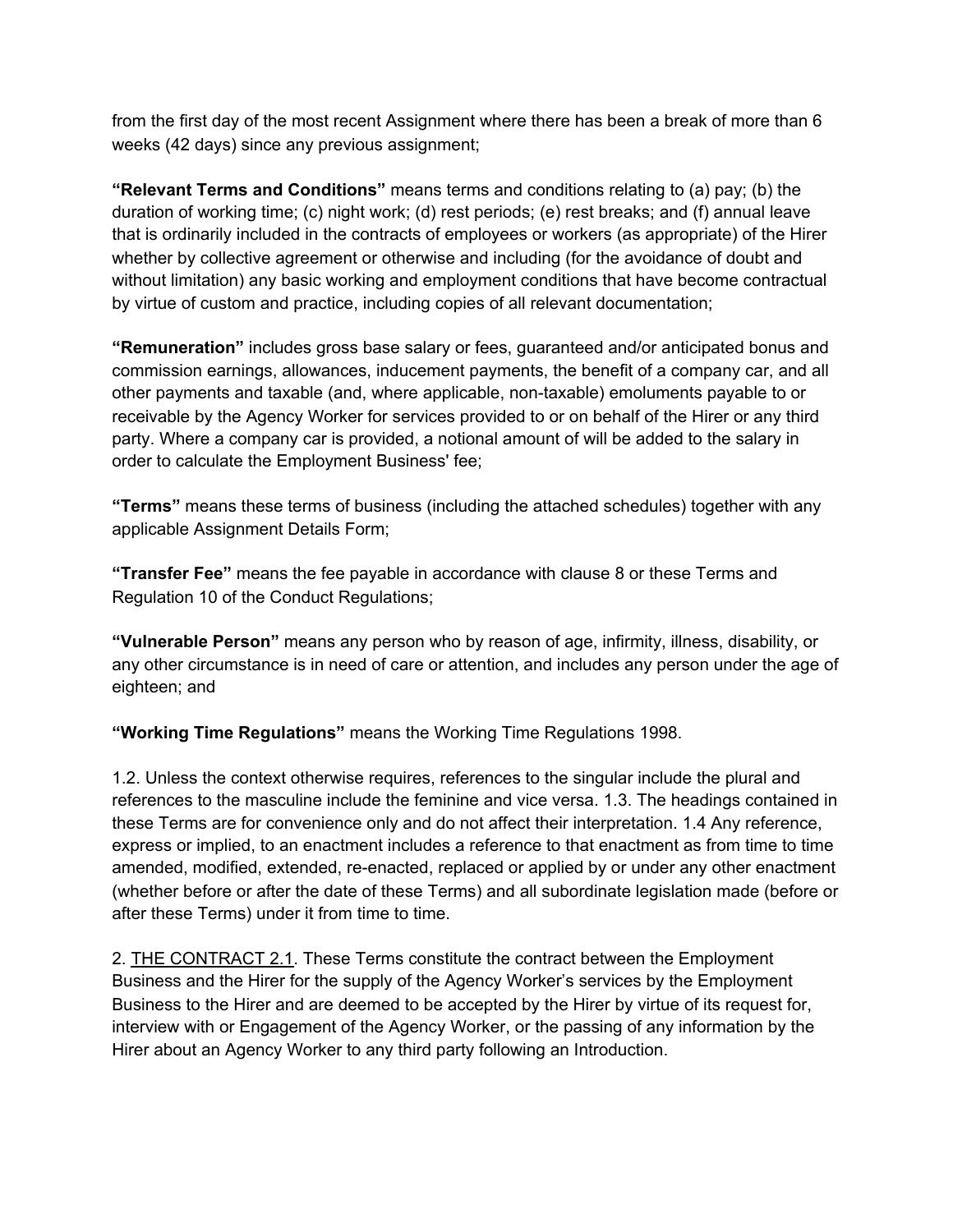from the first day of the most recent Assignment where there has been a break of more than 6 weeks (42 days) since any previous assignment;

**"Relevant Terms and Conditions"** means terms and conditions relating to (a) pay; (b) the duration of working time; (c) night work; (d) rest periods; (e) rest breaks; and (f) annual leave that is ordinarily included in the contracts of employees or workers (as appropriate) of the Hirer whether by collective agreement or otherwise and including (for the avoidance of doubt and without limitation) any basic working and employment conditions that have become contractual by virtue of custom and practice, including copies of all relevant documentation;

**"Remuneration"** includes gross base salary or fees, guaranteed and/or anticipated bonus and commission earnings, allowances, inducement payments, the benefit of a company car, and all other payments and taxable (and, where applicable, non-taxable) emoluments payable to or receivable by the Agency Worker for services provided to or on behalf of the Hirer or any third party. Where a company car is provided, a notional amount of will be added to the salary in order to calculate the Employment Business' fee;

**"Terms"** means these terms of business (including the attached schedules) together with any applicable Assignment Details Form;

**"Transfer Fee"** means the fee payable in accordance with clause 8 or these Terms and Regulation 10 of the Conduct Regulations;

**"Vulnerable Person"** means any person who by reason of age, infirmity, illness, disability, or any other circumstance is in need of care or attention, and includes any person under the age of eighteen; and

**"Working Time Regulations"** means the Working Time Regulations 1998.

1.2. Unless the context otherwise requires, references to the singular include the plural and references to the masculine include the feminine and vice versa. 1.3. The headings contained in these Terms are for convenience only and do not affect their interpretation. 1.4 Any reference, express or implied, to an enactment includes a reference to that enactment as from time to time amended, modified, extended, re-enacted, replaced or applied by or under any other enactment (whether before or after the date of these Terms) and all subordinate legislation made (before or after these Terms) under it from time to time.

2. THE CONTRACT 2.1. These Terms constitute the contract between the Employment Business and the Hirer for the supply of the Agency Worker's services by the Employment Business to the Hirer and are deemed to be accepted by the Hirer by virtue of its request for, interview with or Engagement of the Agency Worker, or the passing of any information by the Hirer about an Agency Worker to any third party following an Introduction.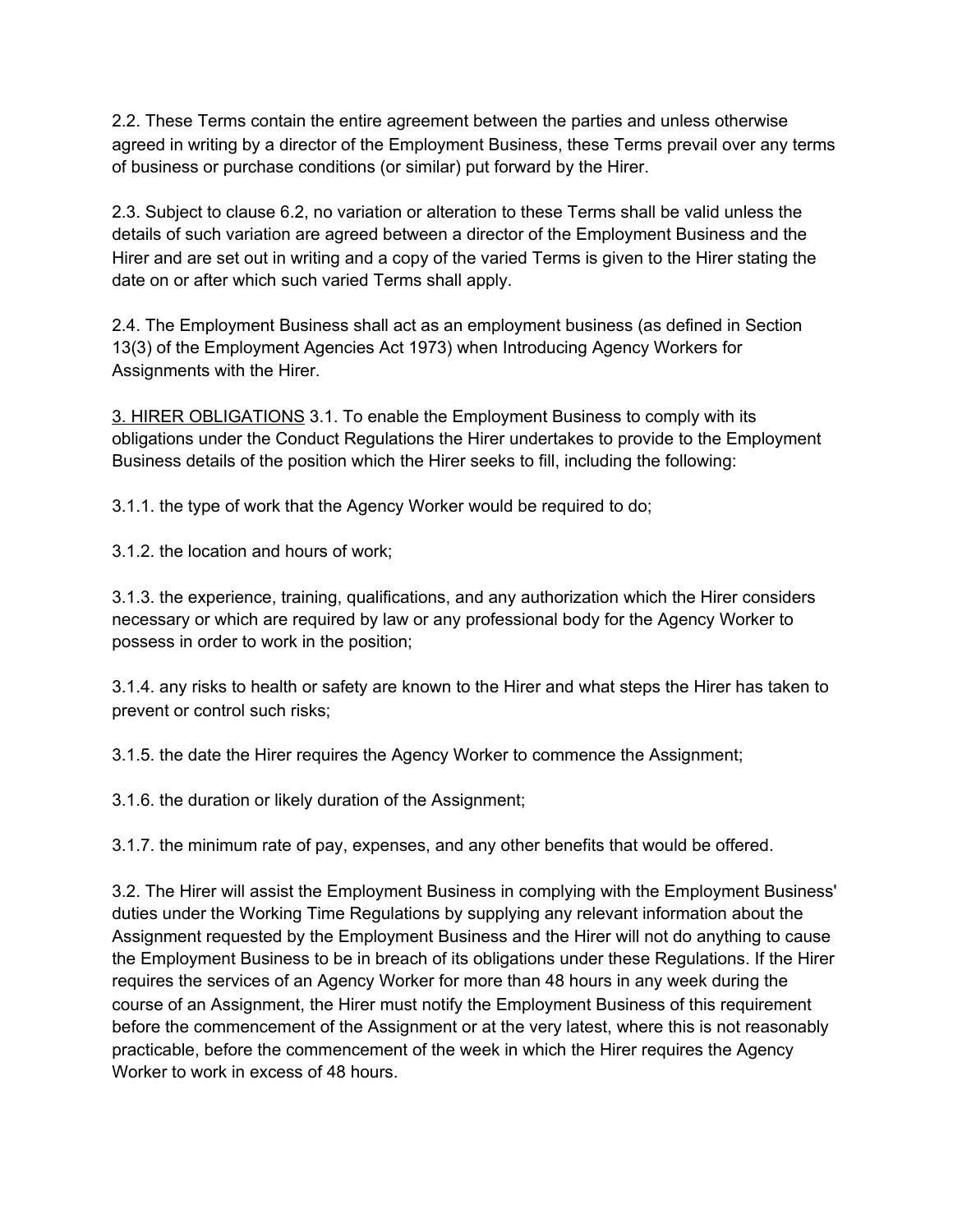2.2. These Terms contain the entire agreement between the parties and unless otherwise agreed in writing by a director of the Employment Business, these Terms prevail over any terms of business or purchase conditions (or similar) put forward by the Hirer.

2.3. Subject to clause 6.2, no variation or alteration to these Terms shall be valid unless the details of such variation are agreed between a director of the Employment Business and the Hirer and are set out in writing and a copy of the varied Terms is given to the Hirer stating the date on or after which such varied Terms shall apply.

2.4. The Employment Business shall act as an employment business (as defined in Section 13(3) of the Employment Agencies Act 1973) when Introducing Agency Workers for Assignments with the Hirer.

3. HIRER OBLIGATIONS 3.1. To enable the Employment Business to comply with its obligations under the Conduct Regulations the Hirer undertakes to provide to the Employment Business details of the position which the Hirer seeks to fill, including the following:

3.1.1. the type of work that the Agency Worker would be required to do;

3.1.2. the location and hours of work;

3.1.3. the experience, training, qualifications, and any authorization which the Hirer considers necessary or which are required by law or any professional body for the Agency Worker to possess in order to work in the position;

3.1.4. any risks to health or safety are known to the Hirer and what steps the Hirer has taken to prevent or control such risks;

3.1.5. the date the Hirer requires the Agency Worker to commence the Assignment;

3.1.6. the duration or likely duration of the Assignment;

3.1.7. the minimum rate of pay, expenses, and any other benefits that would be offered.

3.2. The Hirer will assist the Employment Business in complying with the Employment Business' duties under the Working Time Regulations by supplying any relevant information about the Assignment requested by the Employment Business and the Hirer will not do anything to cause the Employment Business to be in breach of its obligations under these Regulations. If the Hirer requires the services of an Agency Worker for more than 48 hours in any week during the course of an Assignment, the Hirer must notify the Employment Business of this requirement before the commencement of the Assignment or at the very latest, where this is not reasonably practicable, before the commencement of the week in which the Hirer requires the Agency Worker to work in excess of 48 hours.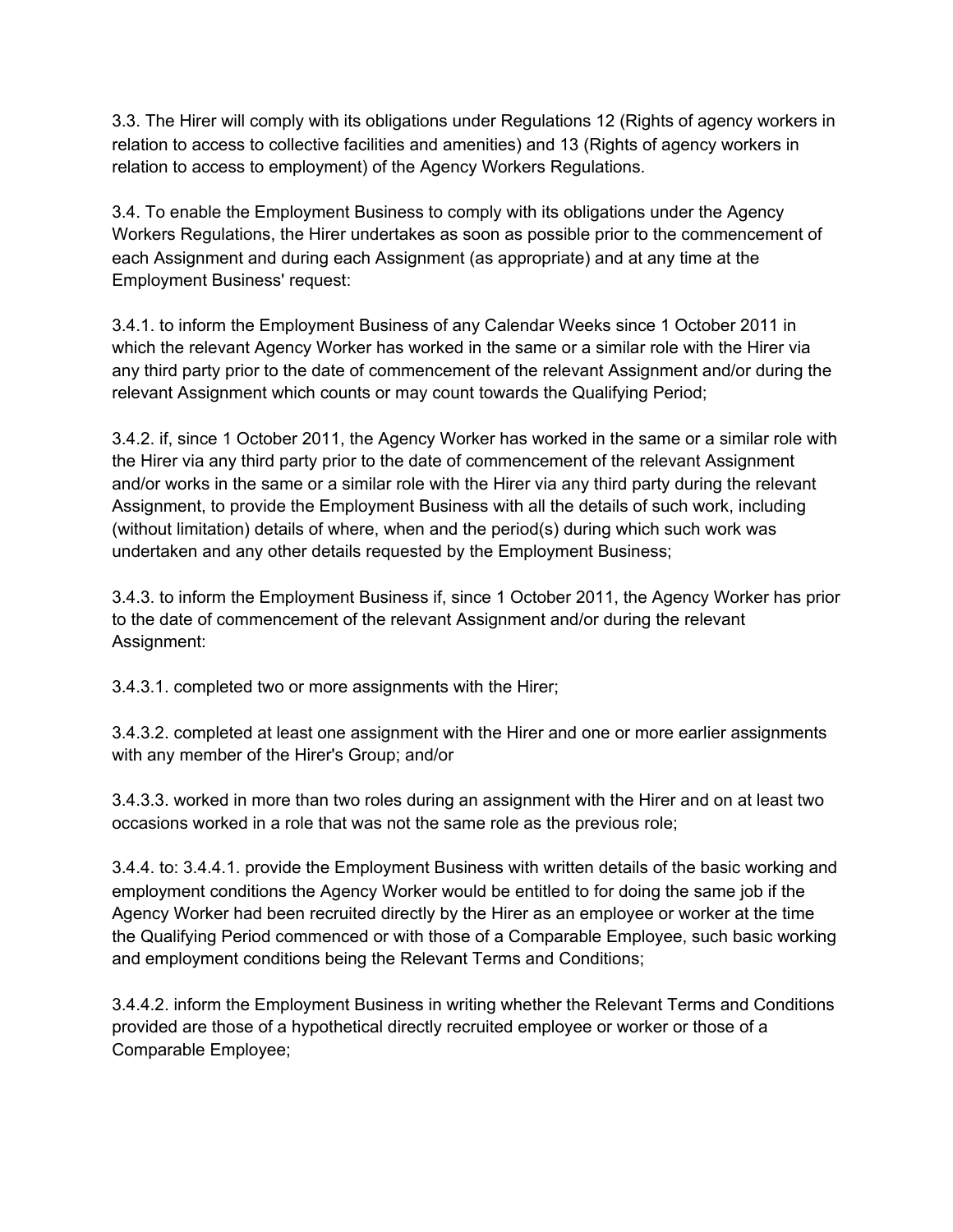3.3. The Hirer will comply with its obligations under Regulations 12 (Rights of agency workers in relation to access to collective facilities and amenities) and 13 (Rights of agency workers in relation to access to employment) of the Agency Workers Regulations.

3.4. To enable the Employment Business to comply with its obligations under the Agency Workers Regulations, the Hirer undertakes as soon as possible prior to the commencement of each Assignment and during each Assignment (as appropriate) and at any time at the Employment Business' request:

3.4.1. to inform the Employment Business of any Calendar Weeks since 1 October 2011 in which the relevant Agency Worker has worked in the same or a similar role with the Hirer via any third party prior to the date of commencement of the relevant Assignment and/or during the relevant Assignment which counts or may count towards the Qualifying Period;

3.4.2. if, since 1 October 2011, the Agency Worker has worked in the same or a similar role with the Hirer via any third party prior to the date of commencement of the relevant Assignment and/or works in the same or a similar role with the Hirer via any third party during the relevant Assignment, to provide the Employment Business with all the details of such work, including (without limitation) details of where, when and the period(s) during which such work was undertaken and any other details requested by the Employment Business;

3.4.3. to inform the Employment Business if, since 1 October 2011, the Agency Worker has prior to the date of commencement of the relevant Assignment and/or during the relevant Assignment:

3.4.3.1. completed two or more assignments with the Hirer;

3.4.3.2. completed at least one assignment with the Hirer and one or more earlier assignments with any member of the Hirer's Group; and/or

3.4.3.3. worked in more than two roles during an assignment with the Hirer and on at least two occasions worked in a role that was not the same role as the previous role;

3.4.4. to: 3.4.4.1. provide the Employment Business with written details of the basic working and employment conditions the Agency Worker would be entitled to for doing the same job if the Agency Worker had been recruited directly by the Hirer as an employee or worker at the time the Qualifying Period commenced or with those of a Comparable Employee, such basic working and employment conditions being the Relevant Terms and Conditions;

3.4.4.2. inform the Employment Business in writing whether the Relevant Terms and Conditions provided are those of a hypothetical directly recruited employee or worker or those of a Comparable Employee;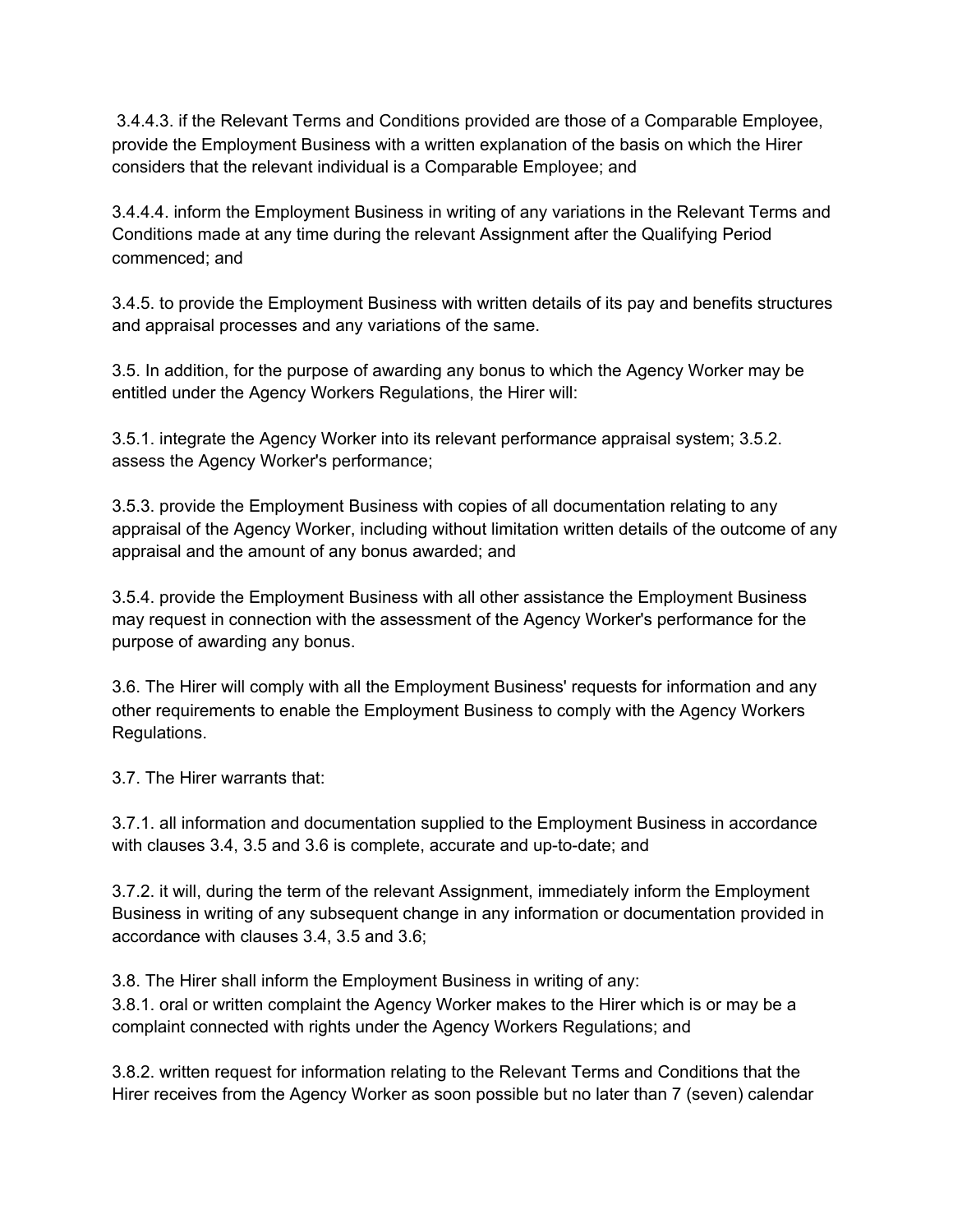3.4.4.3. if the Relevant Terms and Conditions provided are those of a Comparable Employee, provide the Employment Business with a written explanation of the basis on which the Hirer considers that the relevant individual is a Comparable Employee; and

3.4.4.4. inform the Employment Business in writing of any variations in the Relevant Terms and Conditions made at any time during the relevant Assignment after the Qualifying Period commenced; and

3.4.5. to provide the Employment Business with written details of its pay and benefits structures and appraisal processes and any variations of the same.

3.5. In addition, for the purpose of awarding any bonus to which the Agency Worker may be entitled under the Agency Workers Regulations, the Hirer will:

3.5.1. integrate the Agency Worker into its relevant performance appraisal system; 3.5.2. assess the Agency Worker's performance;

3.5.3. provide the Employment Business with copies of all documentation relating to any appraisal of the Agency Worker, including without limitation written details of the outcome of any appraisal and the amount of any bonus awarded; and

3.5.4. provide the Employment Business with all other assistance the Employment Business may request in connection with the assessment of the Agency Worker's performance for the purpose of awarding any bonus.

3.6. The Hirer will comply with all the Employment Business' requests for information and any other requirements to enable the Employment Business to comply with the Agency Workers Regulations.

3.7. The Hirer warrants that:

3.7.1. all information and documentation supplied to the Employment Business in accordance with clauses 3.4, 3.5 and 3.6 is complete, accurate and up-to-date; and

3.7.2. it will, during the term of the relevant Assignment, immediately inform the Employment Business in writing of any subsequent change in any information or documentation provided in accordance with clauses 3.4, 3.5 and 3.6;

3.8. The Hirer shall inform the Employment Business in writing of any:

3.8.1. oral or written complaint the Agency Worker makes to the Hirer which is or may be a complaint connected with rights under the Agency Workers Regulations; and

3.8.2. written request for information relating to the Relevant Terms and Conditions that the Hirer receives from the Agency Worker as soon possible but no later than 7 (seven) calendar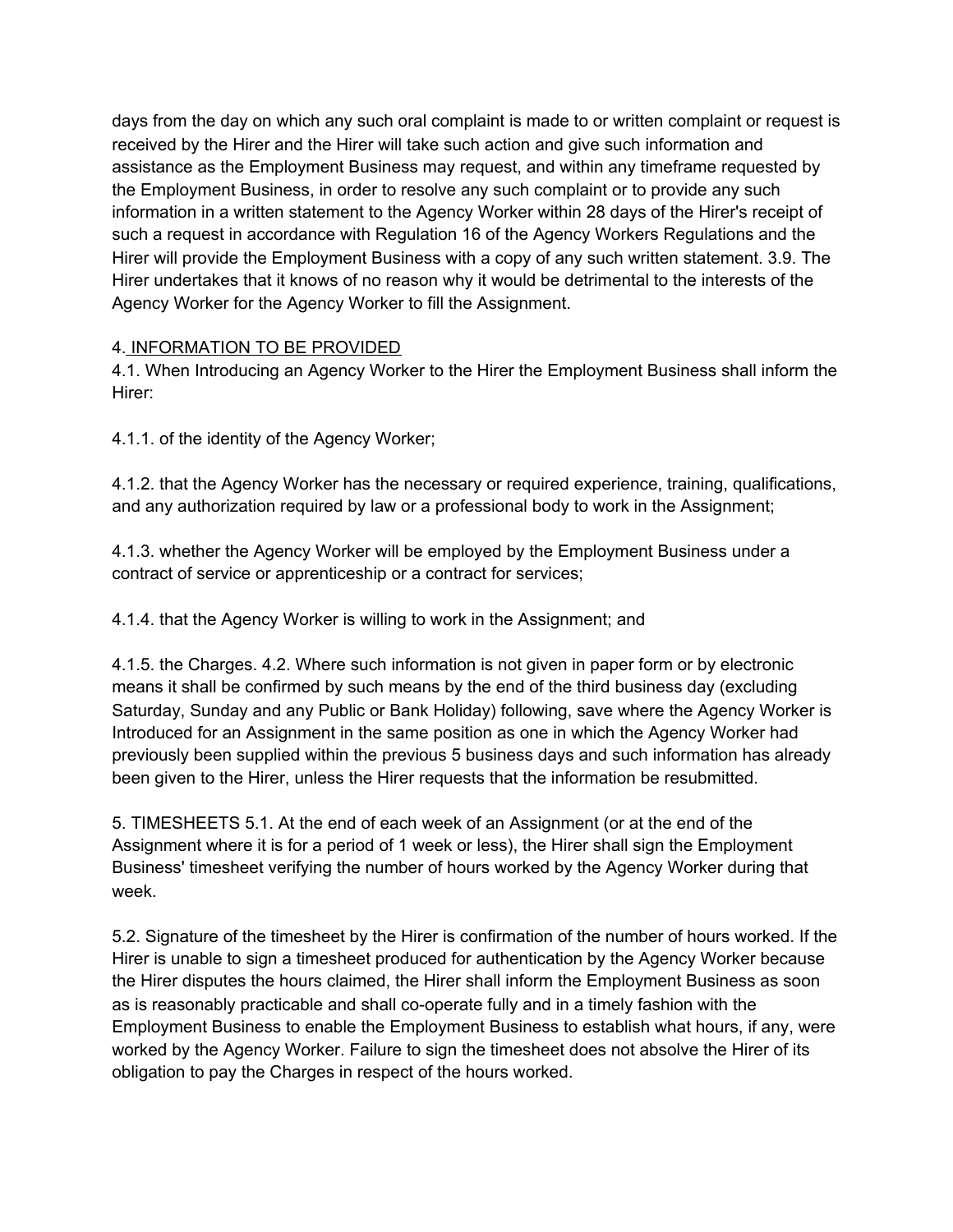days from the day on which any such oral complaint is made to or written complaint or request is received by the Hirer and the Hirer will take such action and give such information and assistance as the Employment Business may request, and within any timeframe requested by the Employment Business, in order to resolve any such complaint or to provide any such information in a written statement to the Agency Worker within 28 days of the Hirer's receipt of such a request in accordance with Regulation 16 of the Agency Workers Regulations and the Hirer will provide the Employment Business with a copy of any such written statement. 3.9. The Hirer undertakes that it knows of no reason why it would be detrimental to the interests of the Agency Worker for the Agency Worker to fill the Assignment.

#### 4. INFORMATION TO BE PROVIDED

4.1. When Introducing an Agency Worker to the Hirer the Employment Business shall inform the Hirer:

4.1.1. of the identity of the Agency Worker;

4.1.2. that the Agency Worker has the necessary or required experience, training, qualifications, and any authorization required by law or a professional body to work in the Assignment;

4.1.3. whether the Agency Worker will be employed by the Employment Business under a contract of service or apprenticeship or a contract for services;

4.1.4. that the Agency Worker is willing to work in the Assignment; and

4.1.5. the Charges. 4.2. Where such information is not given in paper form or by electronic means it shall be confirmed by such means by the end of the third business day (excluding Saturday, Sunday and any Public or Bank Holiday) following, save where the Agency Worker is Introduced for an Assignment in the same position as one in which the Agency Worker had previously been supplied within the previous 5 business days and such information has already been given to the Hirer, unless the Hirer requests that the information be resubmitted.

5. TIMESHEETS 5.1. At the end of each week of an Assignment (or at the end of the Assignment where it is for a period of 1 week or less), the Hirer shall sign the Employment Business' timesheet verifying the number of hours worked by the Agency Worker during that week.

5.2. Signature of the timesheet by the Hirer is confirmation of the number of hours worked. If the Hirer is unable to sign a timesheet produced for authentication by the Agency Worker because the Hirer disputes the hours claimed, the Hirer shall inform the Employment Business as soon as is reasonably practicable and shall co-operate fully and in a timely fashion with the Employment Business to enable the Employment Business to establish what hours, if any, were worked by the Agency Worker. Failure to sign the timesheet does not absolve the Hirer of its obligation to pay the Charges in respect of the hours worked.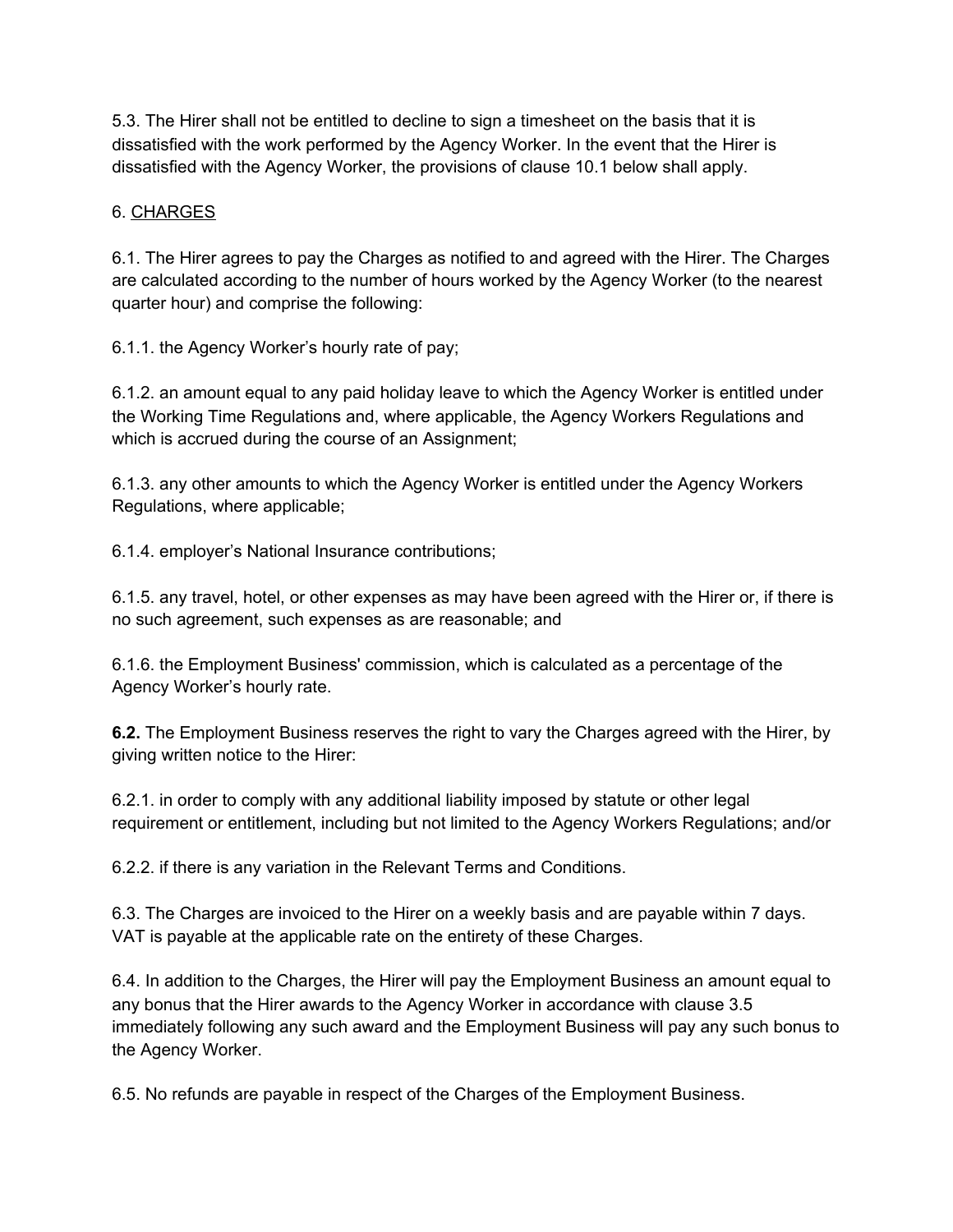5.3. The Hirer shall not be entitled to decline to sign a timesheet on the basis that it is dissatisfied with the work performed by the Agency Worker. In the event that the Hirer is dissatisfied with the Agency Worker, the provisions of clause 10.1 below shall apply.

#### 6. CHARGES

6.1. The Hirer agrees to pay the Charges as notified to and agreed with the Hirer. The Charges are calculated according to the number of hours worked by the Agency Worker (to the nearest quarter hour) and comprise the following:

6.1.1. the Agency Worker's hourly rate of pay;

6.1.2. an amount equal to any paid holiday leave to which the Agency Worker is entitled under the Working Time Regulations and, where applicable, the Agency Workers Regulations and which is accrued during the course of an Assignment;

6.1.3. any other amounts to which the Agency Worker is entitled under the Agency Workers Regulations, where applicable;

6.1.4. employer's National Insurance contributions;

6.1.5. any travel, hotel, or other expenses as may have been agreed with the Hirer or, if there is no such agreement, such expenses as are reasonable; and

6.1.6. the Employment Business' commission, which is calculated as a percentage of the Agency Worker's hourly rate.

**6.2.** The Employment Business reserves the right to vary the Charges agreed with the Hirer, by giving written notice to the Hirer:

6.2.1. in order to comply with any additional liability imposed by statute or other legal requirement or entitlement, including but not limited to the Agency Workers Regulations; and/or

6.2.2. if there is any variation in the Relevant Terms and Conditions.

6.3. The Charges are invoiced to the Hirer on a weekly basis and are payable within 7 days. VAT is payable at the applicable rate on the entirety of these Charges.

6.4. In addition to the Charges, the Hirer will pay the Employment Business an amount equal to any bonus that the Hirer awards to the Agency Worker in accordance with clause 3.5 immediately following any such award and the Employment Business will pay any such bonus to the Agency Worker.

6.5. No refunds are payable in respect of the Charges of the Employment Business.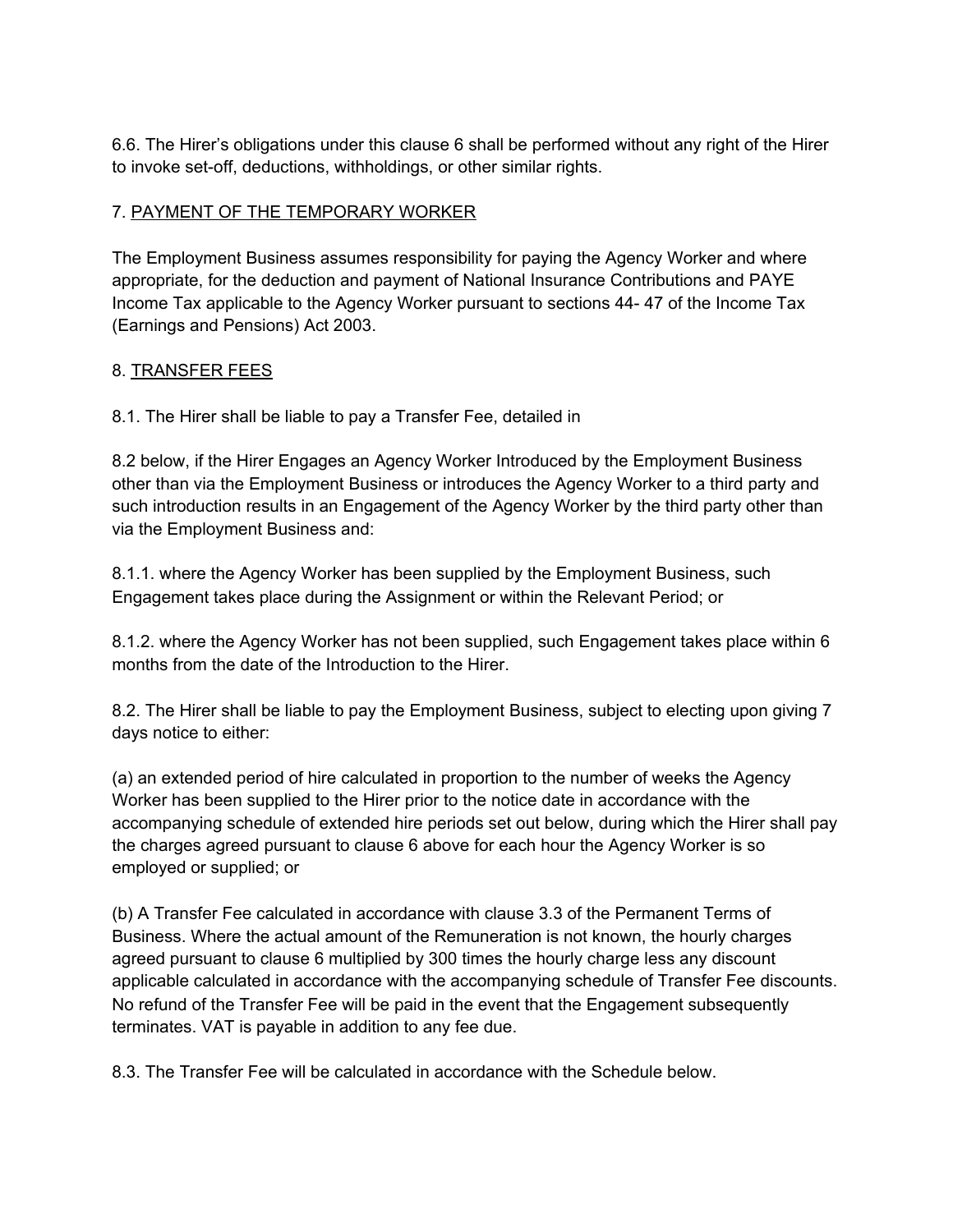6.6. The Hirer's obligations under this clause 6 shall be performed without any right of the Hirer to invoke set-off, deductions, withholdings, or other similar rights.

#### 7. PAYMENT OF THE TEMPORARY WORKER

The Employment Business assumes responsibility for paying the Agency Worker and where appropriate, for the deduction and payment of National Insurance Contributions and PAYE Income Tax applicable to the Agency Worker pursuant to sections 44- 47 of the Income Tax (Earnings and Pensions) Act 2003.

#### 8. TRANSFER FEES

8.1. The Hirer shall be liable to pay a Transfer Fee, detailed in

8.2 below, if the Hirer Engages an Agency Worker Introduced by the Employment Business other than via the Employment Business or introduces the Agency Worker to a third party and such introduction results in an Engagement of the Agency Worker by the third party other than via the Employment Business and:

8.1.1. where the Agency Worker has been supplied by the Employment Business, such Engagement takes place during the Assignment or within the Relevant Period; or

8.1.2. where the Agency Worker has not been supplied, such Engagement takes place within 6 months from the date of the Introduction to the Hirer.

8.2. The Hirer shall be liable to pay the Employment Business, subject to electing upon giving 7 days notice to either:

(a) an extended period of hire calculated in proportion to the number of weeks the Agency Worker has been supplied to the Hirer prior to the notice date in accordance with the accompanying schedule of extended hire periods set out below, during which the Hirer shall pay the charges agreed pursuant to clause 6 above for each hour the Agency Worker is so employed or supplied; or

(b) A Transfer Fee calculated in accordance with clause 3.3 of the Permanent Terms of Business. Where the actual amount of the Remuneration is not known, the hourly charges agreed pursuant to clause 6 multiplied by 300 times the hourly charge less any discount applicable calculated in accordance with the accompanying schedule of Transfer Fee discounts. No refund of the Transfer Fee will be paid in the event that the Engagement subsequently terminates. VAT is payable in addition to any fee due.

8.3. The Transfer Fee will be calculated in accordance with the Schedule below.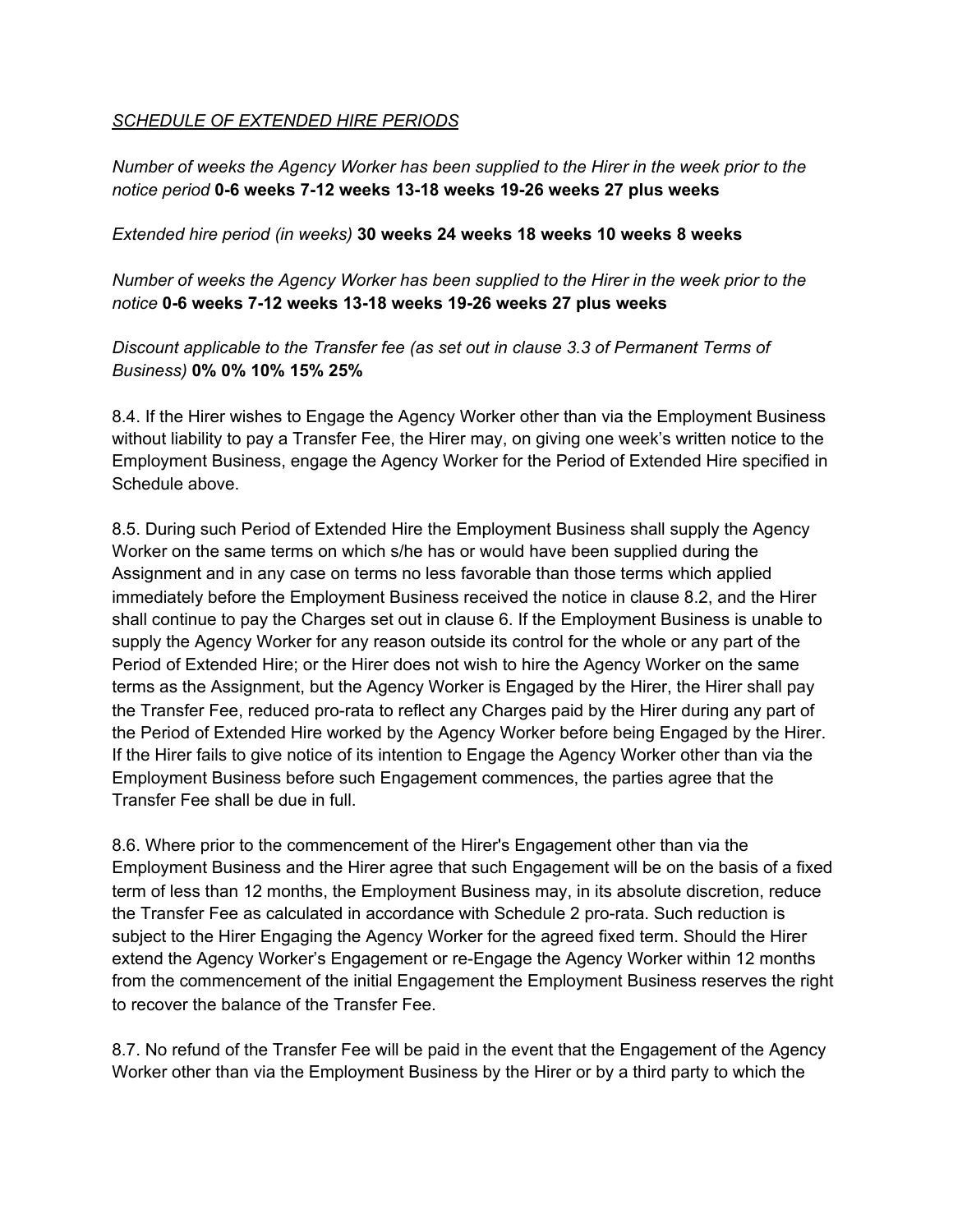#### *SCHEDULE OF EXTENDED HIRE PERIODS*

*Number of weeks the Agency Worker has been supplied to the Hirer in the week prior to the notice period* **0-6 weeks 7-12 weeks 13-18 weeks 19-26 weeks 27 plus weeks**

#### *Extended hire period (in weeks)* **30 weeks 24 weeks 18 weeks 10 weeks 8 weeks**

*Number of weeks the Agency Worker has been supplied to the Hirer in the week prior to the notice* **0-6 weeks 7-12 weeks 13-18 weeks 19-26 weeks 27 plus weeks**

*Discount applicable to the Transfer fee (as set out in clause 3.3 of Permanent Terms of Business)* **0% 0% 10% 15% 25%**

8.4. If the Hirer wishes to Engage the Agency Worker other than via the Employment Business without liability to pay a Transfer Fee, the Hirer may, on giving one week's written notice to the Employment Business, engage the Agency Worker for the Period of Extended Hire specified in Schedule above.

8.5. During such Period of Extended Hire the Employment Business shall supply the Agency Worker on the same terms on which s/he has or would have been supplied during the Assignment and in any case on terms no less favorable than those terms which applied immediately before the Employment Business received the notice in clause 8.2, and the Hirer shall continue to pay the Charges set out in clause 6. If the Employment Business is unable to supply the Agency Worker for any reason outside its control for the whole or any part of the Period of Extended Hire; or the Hirer does not wish to hire the Agency Worker on the same terms as the Assignment, but the Agency Worker is Engaged by the Hirer, the Hirer shall pay the Transfer Fee, reduced pro-rata to reflect any Charges paid by the Hirer during any part of the Period of Extended Hire worked by the Agency Worker before being Engaged by the Hirer. If the Hirer fails to give notice of its intention to Engage the Agency Worker other than via the Employment Business before such Engagement commences, the parties agree that the Transfer Fee shall be due in full.

8.6. Where prior to the commencement of the Hirer's Engagement other than via the Employment Business and the Hirer agree that such Engagement will be on the basis of a fixed term of less than 12 months, the Employment Business may, in its absolute discretion, reduce the Transfer Fee as calculated in accordance with Schedule 2 pro-rata. Such reduction is subject to the Hirer Engaging the Agency Worker for the agreed fixed term. Should the Hirer extend the Agency Worker's Engagement or re-Engage the Agency Worker within 12 months from the commencement of the initial Engagement the Employment Business reserves the right to recover the balance of the Transfer Fee.

8.7. No refund of the Transfer Fee will be paid in the event that the Engagement of the Agency Worker other than via the Employment Business by the Hirer or by a third party to which the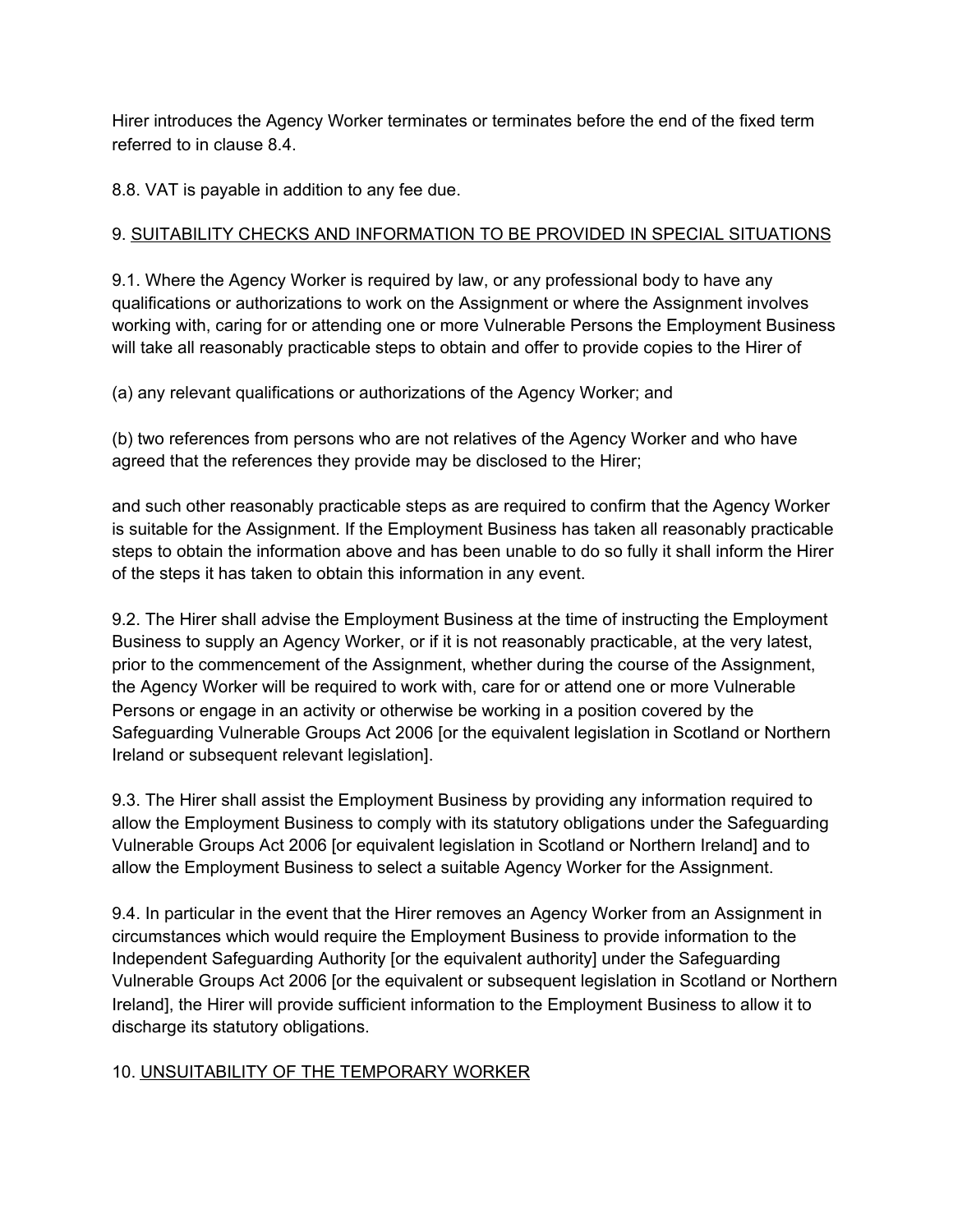Hirer introduces the Agency Worker terminates or terminates before the end of the fixed term referred to in clause 8.4.

8.8. VAT is payable in addition to any fee due.

# 9. SUITABILITY CHECKS AND INFORMATION TO BE PROVIDED IN SPECIAL SITUATIONS

9.1. Where the Agency Worker is required by law, or any professional body to have any qualifications or authorizations to work on the Assignment or where the Assignment involves working with, caring for or attending one or more Vulnerable Persons the Employment Business will take all reasonably practicable steps to obtain and offer to provide copies to the Hirer of

(a) any relevant qualifications or authorizations of the Agency Worker; and

(b) two references from persons who are not relatives of the Agency Worker and who have agreed that the references they provide may be disclosed to the Hirer;

and such other reasonably practicable steps as are required to confirm that the Agency Worker is suitable for the Assignment. If the Employment Business has taken all reasonably practicable steps to obtain the information above and has been unable to do so fully it shall inform the Hirer of the steps it has taken to obtain this information in any event.

9.2. The Hirer shall advise the Employment Business at the time of instructing the Employment Business to supply an Agency Worker, or if it is not reasonably practicable, at the very latest, prior to the commencement of the Assignment, whether during the course of the Assignment, the Agency Worker will be required to work with, care for or attend one or more Vulnerable Persons or engage in an activity or otherwise be working in a position covered by the Safeguarding Vulnerable Groups Act 2006 [or the equivalent legislation in Scotland or Northern Ireland or subsequent relevant legislation].

9.3. The Hirer shall assist the Employment Business by providing any information required to allow the Employment Business to comply with its statutory obligations under the Safeguarding Vulnerable Groups Act 2006 [or equivalent legislation in Scotland or Northern Ireland] and to allow the Employment Business to select a suitable Agency Worker for the Assignment.

9.4. In particular in the event that the Hirer removes an Agency Worker from an Assignment in circumstances which would require the Employment Business to provide information to the Independent Safeguarding Authority [or the equivalent authority] under the Safeguarding Vulnerable Groups Act 2006 [or the equivalent or subsequent legislation in Scotland or Northern Ireland], the Hirer will provide sufficient information to the Employment Business to allow it to discharge its statutory obligations.

# 10. UNSUITABILITY OF THE TEMPORARY WORKER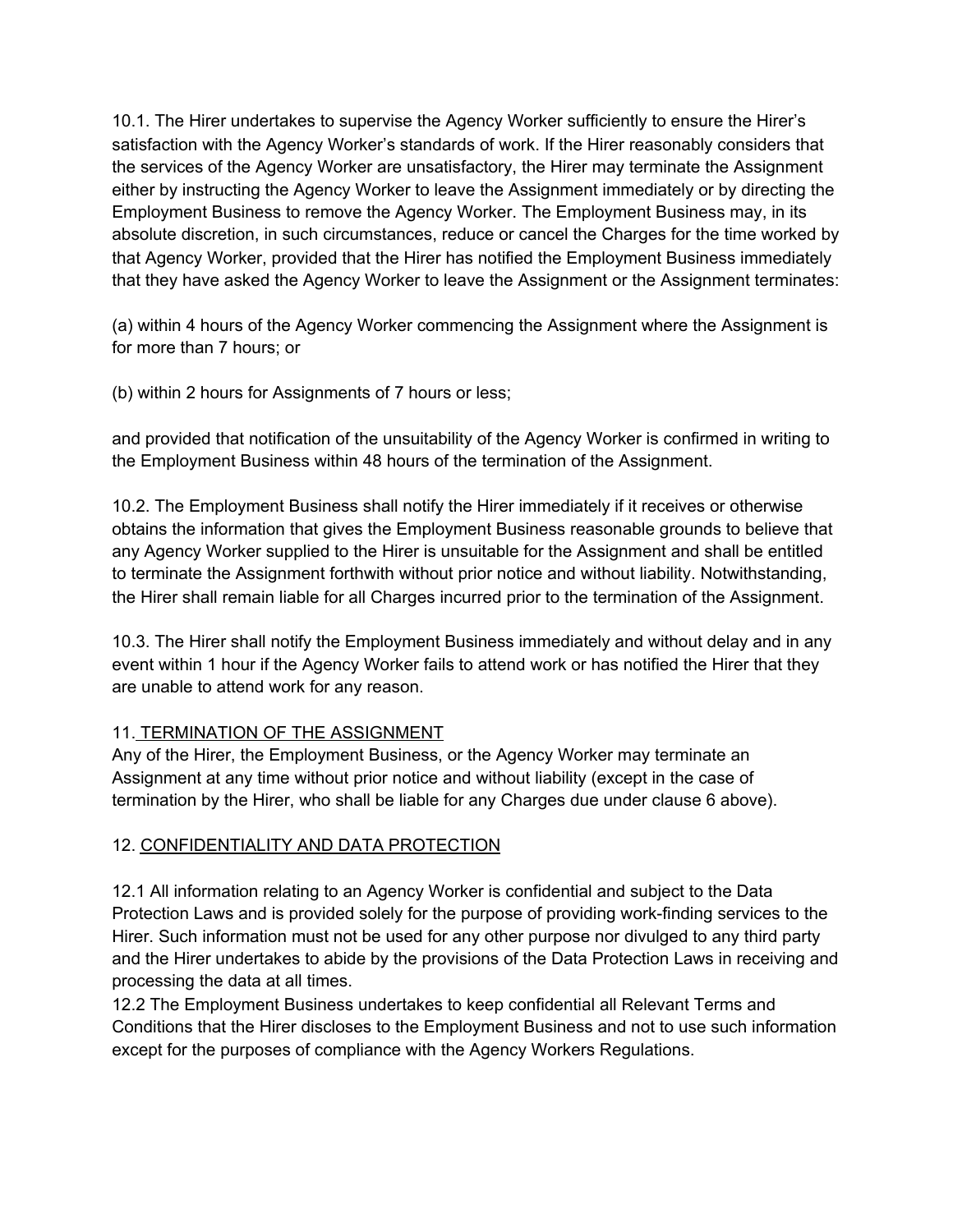10.1. The Hirer undertakes to supervise the Agency Worker sufficiently to ensure the Hirer's satisfaction with the Agency Worker's standards of work. If the Hirer reasonably considers that the services of the Agency Worker are unsatisfactory, the Hirer may terminate the Assignment either by instructing the Agency Worker to leave the Assignment immediately or by directing the Employment Business to remove the Agency Worker. The Employment Business may, in its absolute discretion, in such circumstances, reduce or cancel the Charges for the time worked by that Agency Worker, provided that the Hirer has notified the Employment Business immediately that they have asked the Agency Worker to leave the Assignment or the Assignment terminates:

(a) within 4 hours of the Agency Worker commencing the Assignment where the Assignment is for more than 7 hours; or

(b) within 2 hours for Assignments of 7 hours or less;

and provided that notification of the unsuitability of the Agency Worker is confirmed in writing to the Employment Business within 48 hours of the termination of the Assignment.

10.2. The Employment Business shall notify the Hirer immediately if it receives or otherwise obtains the information that gives the Employment Business reasonable grounds to believe that any Agency Worker supplied to the Hirer is unsuitable for the Assignment and shall be entitled to terminate the Assignment forthwith without prior notice and without liability. Notwithstanding, the Hirer shall remain liable for all Charges incurred prior to the termination of the Assignment.

10.3. The Hirer shall notify the Employment Business immediately and without delay and in any event within 1 hour if the Agency Worker fails to attend work or has notified the Hirer that they are unable to attend work for any reason.

# 11. TERMINATION OF THE ASSIGNMENT

Any of the Hirer, the Employment Business, or the Agency Worker may terminate an Assignment at any time without prior notice and without liability (except in the case of termination by the Hirer, who shall be liable for any Charges due under clause 6 above).

# 12. CONFIDENTIALITY AND DATA PROTECTION

12.1 All information relating to an Agency Worker is confidential and subject to the Data Protection Laws and is provided solely for the purpose of providing work-finding services to the Hirer. Such information must not be used for any other purpose nor divulged to any third party and the Hirer undertakes to abide by the provisions of the Data Protection Laws in receiving and processing the data at all times.

12.2 The Employment Business undertakes to keep confidential all Relevant Terms and Conditions that the Hirer discloses to the Employment Business and not to use such information except for the purposes of compliance with the Agency Workers Regulations.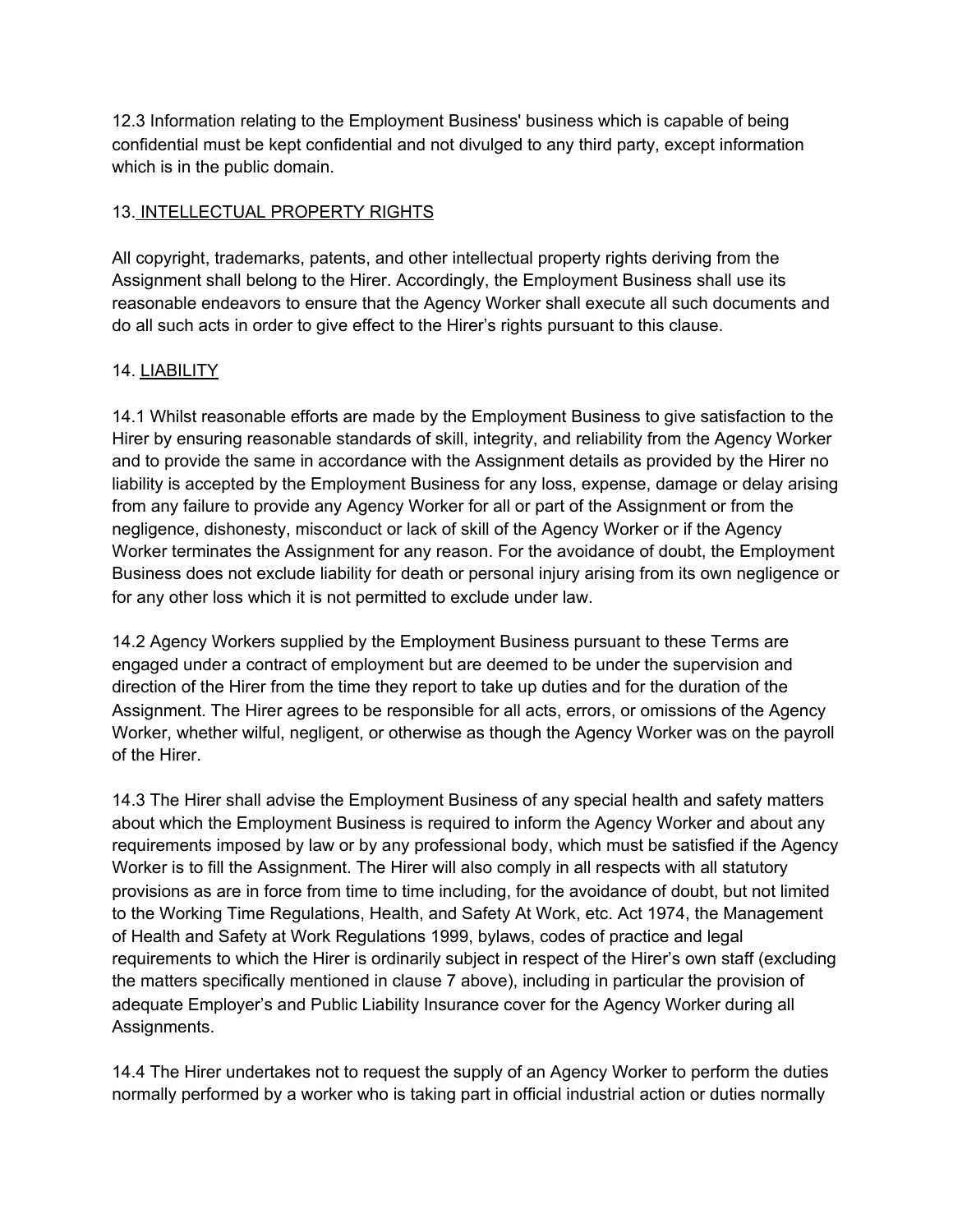12.3 Information relating to the Employment Business' business which is capable of being confidential must be kept confidential and not divulged to any third party, except information which is in the public domain.

# 13. INTELLECTUAL PROPERTY RIGHTS

All copyright, trademarks, patents, and other intellectual property rights deriving from the Assignment shall belong to the Hirer. Accordingly, the Employment Business shall use its reasonable endeavors to ensure that the Agency Worker shall execute all such documents and do all such acts in order to give effect to the Hirer's rights pursuant to this clause.

# 14. LIABILITY

14.1 Whilst reasonable efforts are made by the Employment Business to give satisfaction to the Hirer by ensuring reasonable standards of skill, integrity, and reliability from the Agency Worker and to provide the same in accordance with the Assignment details as provided by the Hirer no liability is accepted by the Employment Business for any loss, expense, damage or delay arising from any failure to provide any Agency Worker for all or part of the Assignment or from the negligence, dishonesty, misconduct or lack of skill of the Agency Worker or if the Agency Worker terminates the Assignment for any reason. For the avoidance of doubt, the Employment Business does not exclude liability for death or personal injury arising from its own negligence or for any other loss which it is not permitted to exclude under law.

14.2 Agency Workers supplied by the Employment Business pursuant to these Terms are engaged under a contract of employment but are deemed to be under the supervision and direction of the Hirer from the time they report to take up duties and for the duration of the Assignment. The Hirer agrees to be responsible for all acts, errors, or omissions of the Agency Worker, whether wilful, negligent, or otherwise as though the Agency Worker was on the payroll of the Hirer.

14.3 The Hirer shall advise the Employment Business of any special health and safety matters about which the Employment Business is required to inform the Agency Worker and about any requirements imposed by law or by any professional body, which must be satisfied if the Agency Worker is to fill the Assignment. The Hirer will also comply in all respects with all statutory provisions as are in force from time to time including, for the avoidance of doubt, but not limited to the Working Time Regulations, Health, and Safety At Work, etc. Act 1974, the Management of Health and Safety at Work Regulations 1999, bylaws, codes of practice and legal requirements to which the Hirer is ordinarily subject in respect of the Hirer's own staff (excluding the matters specifically mentioned in clause 7 above), including in particular the provision of adequate Employer's and Public Liability Insurance cover for the Agency Worker during all Assignments.

14.4 The Hirer undertakes not to request the supply of an Agency Worker to perform the duties normally performed by a worker who is taking part in official industrial action or duties normally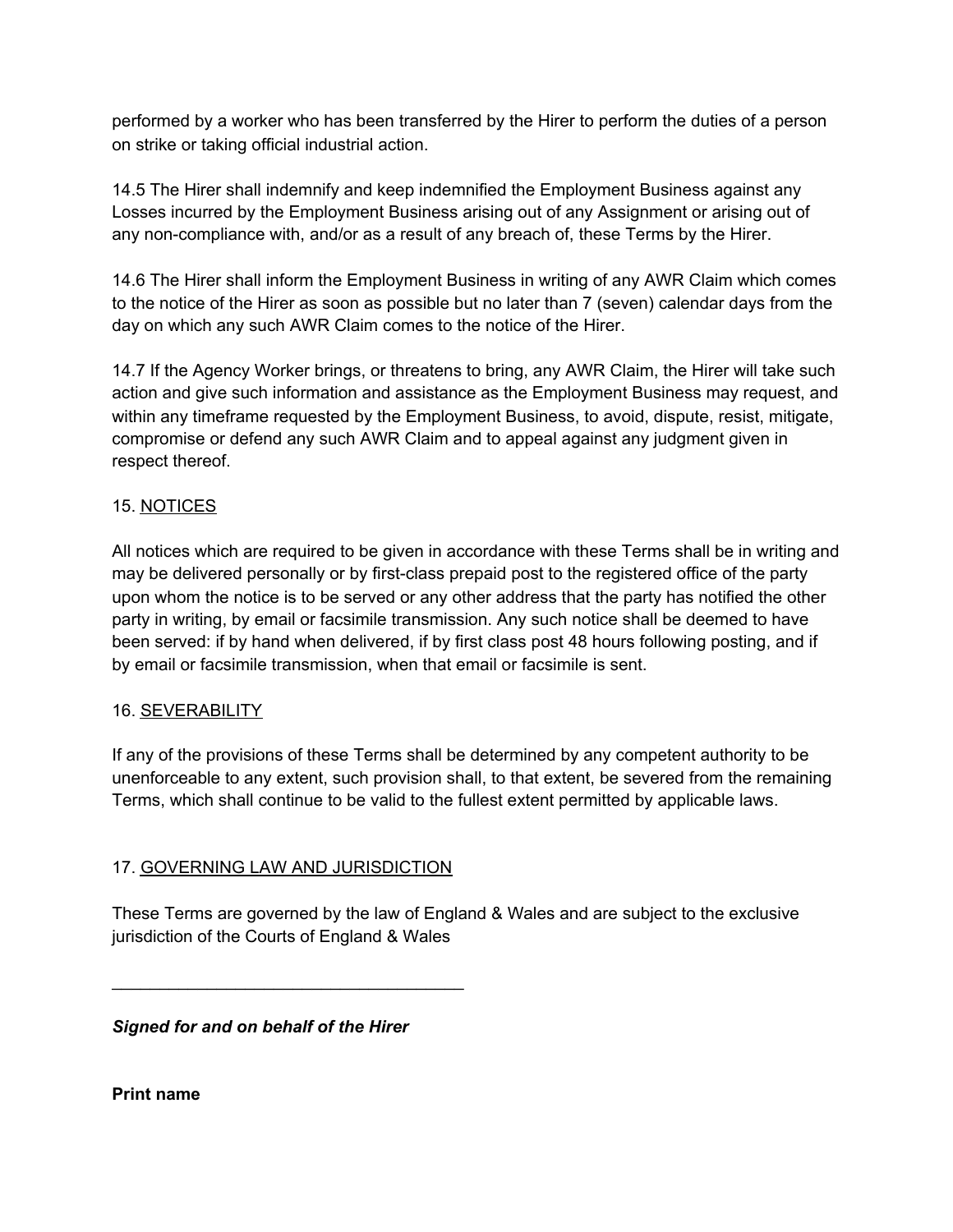performed by a worker who has been transferred by the Hirer to perform the duties of a person on strike or taking official industrial action.

14.5 The Hirer shall indemnify and keep indemnified the Employment Business against any Losses incurred by the Employment Business arising out of any Assignment or arising out of any non-compliance with, and/or as a result of any breach of, these Terms by the Hirer.

14.6 The Hirer shall inform the Employment Business in writing of any AWR Claim which comes to the notice of the Hirer as soon as possible but no later than 7 (seven) calendar days from the day on which any such AWR Claim comes to the notice of the Hirer.

14.7 If the Agency Worker brings, or threatens to bring, any AWR Claim, the Hirer will take such action and give such information and assistance as the Employment Business may request, and within any timeframe requested by the Employment Business, to avoid, dispute, resist, mitigate, compromise or defend any such AWR Claim and to appeal against any judgment given in respect thereof.

#### 15. NOTICES

All notices which are required to be given in accordance with these Terms shall be in writing and may be delivered personally or by first-class prepaid post to the registered office of the party upon whom the notice is to be served or any other address that the party has notified the other party in writing, by email or facsimile transmission. Any such notice shall be deemed to have been served: if by hand when delivered, if by first class post 48 hours following posting, and if by email or facsimile transmission, when that email or facsimile is sent.

#### 16. SEVERABILITY

If any of the provisions of these Terms shall be determined by any competent authority to be unenforceable to any extent, such provision shall, to that extent, be severed from the remaining Terms, which shall continue to be valid to the fullest extent permitted by applicable laws.

# 17. GOVERNING LAW AND JURISDICTION

 $\overline{\phantom{a}}$  , and the set of the set of the set of the set of the set of the set of the set of the set of the set of the set of the set of the set of the set of the set of the set of the set of the set of the set of the s

These Terms are governed by the law of England & Wales and are subject to the exclusive jurisdiction of the Courts of England & Wales

*Signed for and on behalf of the Hirer*

**Print name**